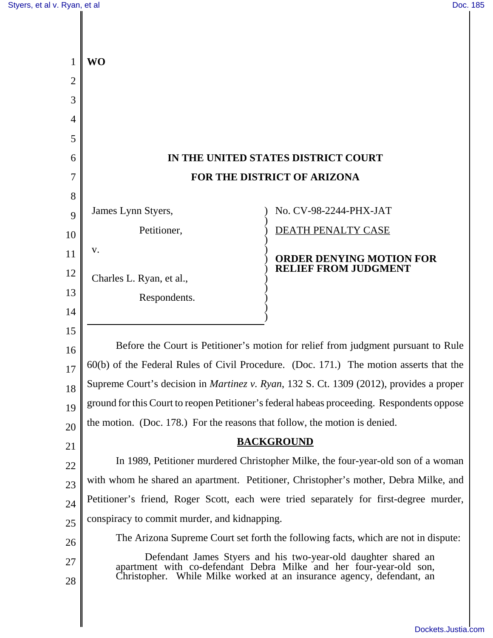| 1              | <b>WO</b>                                                                                                                                                                                                     |                                 |  |
|----------------|---------------------------------------------------------------------------------------------------------------------------------------------------------------------------------------------------------------|---------------------------------|--|
| $\overline{2}$ |                                                                                                                                                                                                               |                                 |  |
| 3              |                                                                                                                                                                                                               |                                 |  |
| 4              |                                                                                                                                                                                                               |                                 |  |
| 5              |                                                                                                                                                                                                               |                                 |  |
| 6              | IN THE UNITED STATES DISTRICT COURT                                                                                                                                                                           |                                 |  |
| $\overline{7}$ | FOR THE DISTRICT OF ARIZONA                                                                                                                                                                                   |                                 |  |
| 8              |                                                                                                                                                                                                               |                                 |  |
| 9              | James Lynn Styers,                                                                                                                                                                                            | No. CV-98-2244-PHX-JAT          |  |
| 10             | Petitioner,                                                                                                                                                                                                   | DEATH PENALTY CASE              |  |
| 11             | V.                                                                                                                                                                                                            | <b>ORDER DENYING MOTION FOR</b> |  |
| 12             | Charles L. Ryan, et al.,                                                                                                                                                                                      | <b>RELIEF FROM JUDGMENT</b>     |  |
| 13             | Respondents.                                                                                                                                                                                                  |                                 |  |
| 14             |                                                                                                                                                                                                               |                                 |  |
| 15             |                                                                                                                                                                                                               |                                 |  |
| 16             | Before the Court is Petitioner's motion for relief from judgment pursuant to Rule                                                                                                                             |                                 |  |
| 17             | 60(b) of the Federal Rules of Civil Procedure. (Doc. 171.) The motion asserts that the                                                                                                                        |                                 |  |
| 18             | Supreme Court's decision in <i>Martinez v. Ryan</i> , 132 S. Ct. 1309 (2012), provides a proper                                                                                                               |                                 |  |
| 19             | ground for this Court to reopen Petitioner's federal habeas proceeding. Respondents oppose                                                                                                                    |                                 |  |
| 20             | the motion. (Doc. 178.) For the reasons that follow, the motion is denied.                                                                                                                                    |                                 |  |
| 21             |                                                                                                                                                                                                               | <b>BACKGROUND</b>               |  |
| 22             | In 1989, Petitioner murdered Christopher Milke, the four-year-old son of a woman                                                                                                                              |                                 |  |
| 23             | with whom he shared an apartment. Petitioner, Christopher's mother, Debra Milke, and                                                                                                                          |                                 |  |
| 24             | Petitioner's friend, Roger Scott, each were tried separately for first-degree murder,                                                                                                                         |                                 |  |
| 25             | conspiracy to commit murder, and kidnapping.                                                                                                                                                                  |                                 |  |
| 26             | The Arizona Supreme Court set forth the following facts, which are not in dispute:                                                                                                                            |                                 |  |
| 27<br>28       | Defendant James Styers and his two-year-old daughter shared an<br>apartment with co-defendant Debra Milke and her four-year-old son,<br>Christopher. While Milke worked at an insurance agency, defendant, an |                                 |  |
|                |                                                                                                                                                                                                               |                                 |  |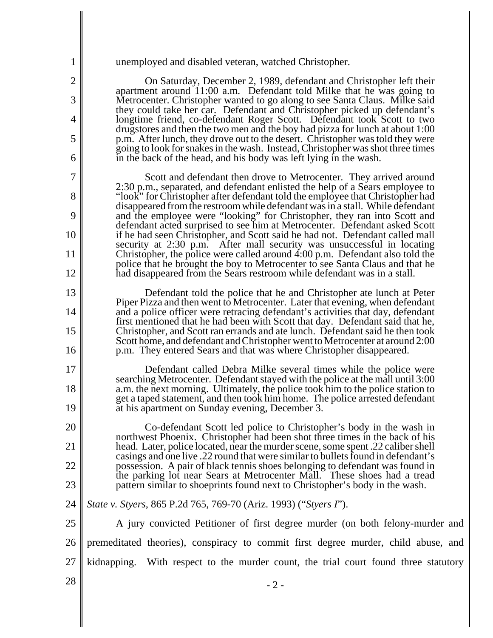| 1              | unemployed and disabled veteran, watched Christopher.                                                                                                                                                                                          |
|----------------|------------------------------------------------------------------------------------------------------------------------------------------------------------------------------------------------------------------------------------------------|
| $\overline{2}$ | On Saturday, December 2, 1989, defendant and Christopher left their<br>apartment around 11:00 a.m. Defendant told Milke that he was going to                                                                                                   |
| 3<br>4         | Metrocenter. Christopher wanted to go along to see Santa Claus. Milke said<br>they could take her car. Defendant and Christopher picked up defendant's                                                                                         |
| 5              | longtime friend, co-defendant Roger Scott. Defendant took Scott to two<br>drugstores and then the two men and the boy had pizza for lunch at about 1:00                                                                                        |
| 6              | p.m. After lunch, they drove out to the desert. Christopher was told they were<br>going to look for snakes in the wash. Instead, Christopher was shot three times<br>in the back of the head, and his body was left lying in the wash.         |
| 7              | Scott and defendant then drove to Metrocenter. They arrived around                                                                                                                                                                             |
| 8              | 2:30 p.m., separated, and defendant enlisted the help of a Sears employee to<br>"look" for Christopher after defendant told the employee that Christopher had<br>disappeared from the restroom while defendant was in a stall. While defendant |
| 9              | and the employee were "looking" for Christopher, they ran into Scott and                                                                                                                                                                       |
| 10             | defendant acted surprised to see him at Metrocenter. Defendant asked Scott<br>if he had seen Christopher, and Scott said he had not. Defendant called mall                                                                                     |
| 11             | security at 2:30 p.m. After mall security was unsuccessful in locating<br>Christopher, the police were called around 4:00 p.m. Defendant also told the<br>police that he brought the boy to Metrocenter to see Santa Claus and that he         |
| 12             | had disappeared from the Sears restroom while defendant was in a stall.                                                                                                                                                                        |
| 13             | Defendant told the police that he and Christopher ate lunch at Peter<br>Piper Pizza and then went to Metrocenter. Later that evening, when defendant                                                                                           |
| 14             | and a police officer were retracing defendant's activities that day, defendant<br>first mentioned that he had been with Scott that day. Defendant said that he,                                                                                |
| 15<br>16       | Christopher, and Scott ran errands and ate lunch. Defendant said he then took<br>Scott home, and defendant and Christopher went to Metrocenter at around 2:00<br>p.m. They entered Sears and that was where Christopher disappeared.           |
| 17             | Defendant called Debra Milke several times while the police were                                                                                                                                                                               |
| 18             | searching Metrocenter. Defendant stayed with the police at the mall until 3:00<br>a.m. the next morning. Ultimately, the police took him to the police station to                                                                              |
| 19             | get a taped statement, and then took him home. The police arrested defendant<br>at his apartment on Sunday evening, December 3.                                                                                                                |
| 20             | Co-defendant Scott led police to Christopher's body in the wash in<br>northwest Phoenix. Christopher had been shot three times in the back of his                                                                                              |
| 21             | head. Later, police located, near the murder scene, some spent .22 caliber shell<br>casings and one live .22 round that were similar to bullets found in defendant's                                                                           |
| 22             | possession. A pair of black tennis shoes belonging to defendant was found in<br>the parking lot near Sears at Metrocenter Mall. These shoes had a tread                                                                                        |
| 23             | pattern similar to shoeprints found next to Christopher's body in the wash.                                                                                                                                                                    |
| 24             | State v. Styers, 865 P.2d 765, 769-70 (Ariz. 1993) ("Styers I").                                                                                                                                                                               |
| 25             | A jury convicted Petitioner of first degree murder (on both felony-murder and                                                                                                                                                                  |
| 26             | premeditated theories), conspiracy to commit first degree murder, child abuse, and                                                                                                                                                             |
| 27             | kidnapping. With respect to the murder count, the trial court found three statutory                                                                                                                                                            |
| 28             | $-2-$                                                                                                                                                                                                                                          |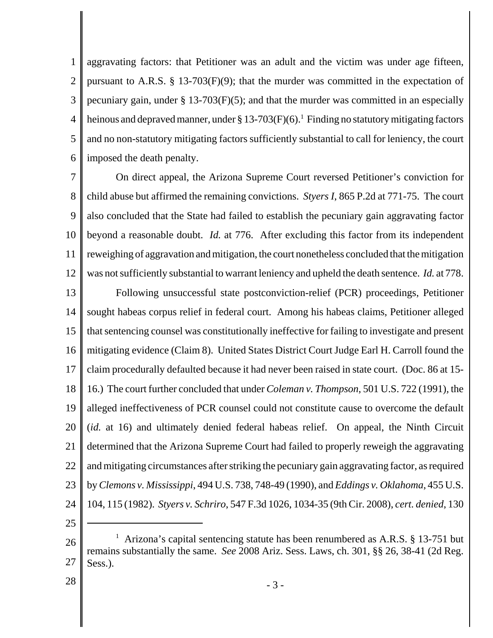1 2 3 4 5 6 aggravating factors: that Petitioner was an adult and the victim was under age fifteen, pursuant to A.R.S. § 13-703(F)(9); that the murder was committed in the expectation of pecuniary gain, under  $\S 13-703(F)(5)$ ; and that the murder was committed in an especially heinous and depraved manner, under § 13-703(F)(6).<sup>1</sup> Finding no statutory mitigating factors and no non-statutory mitigating factors sufficiently substantial to call for leniency, the court imposed the death penalty.

7 8 9 10 11 12 On direct appeal, the Arizona Supreme Court reversed Petitioner's conviction for child abuse but affirmed the remaining convictions. *Styers I*, 865 P.2d at 771-75. The court also concluded that the State had failed to establish the pecuniary gain aggravating factor beyond a reasonable doubt. *Id.* at 776. After excluding this factor from its independent reweighing of aggravation and mitigation, the court nonetheless concluded that the mitigation was not sufficiently substantial to warrant leniency and upheld the death sentence. *Id.* at 778.

13 14 15 16 17 18 19 20 21 22 23 24 Following unsuccessful state postconviction-relief (PCR) proceedings, Petitioner sought habeas corpus relief in federal court. Among his habeas claims, Petitioner alleged that sentencing counsel was constitutionally ineffective for failing to investigate and present mitigating evidence (Claim 8). United States District Court Judge Earl H. Carroll found the claim procedurally defaulted because it had never been raised in state court. (Doc. 86 at 15- 16.) The court further concluded that under *Coleman v. Thompson*, 501 U.S. 722 (1991)*,* the alleged ineffectiveness of PCR counsel could not constitute cause to overcome the default (*id.* at 16) and ultimately denied federal habeas relief. On appeal, the Ninth Circuit determined that the Arizona Supreme Court had failed to properly reweigh the aggravating and mitigating circumstances after striking the pecuniary gain aggravating factor, as required by *Clemons v. Mississippi*, 494 U.S. 738, 748-49 (1990), and *Eddings v. Oklahoma*, 455 U.S. 104, 115 (1982). *Styers v. Schriro*, 547 F.3d 1026, 1034-35 (9th Cir. 2008), *cert. denied*, 130

25

28

<sup>26</sup> 27 <sup>1</sup> Arizona's capital sentencing statute has been renumbered as A.R.S. § 13-751 but remains substantially the same. *See* 2008 Ariz. Sess. Laws, ch. 301, §§ 26, 38-41 (2d Reg. Sess.).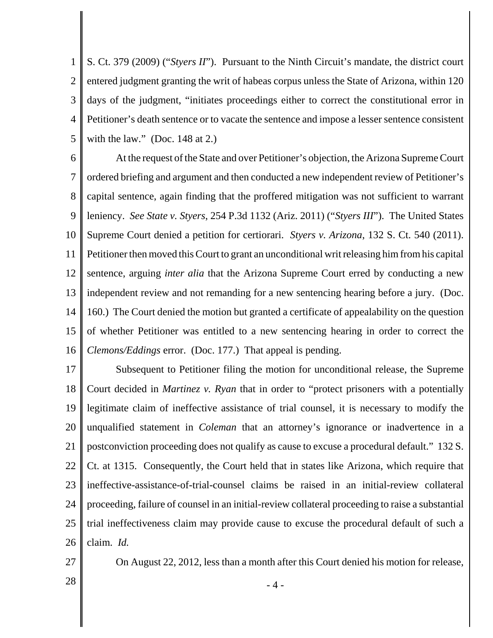1 2 3 4 5 S. Ct. 379 (2009) ("*Styers II*"). Pursuant to the Ninth Circuit's mandate, the district court entered judgment granting the writ of habeas corpus unless the State of Arizona, within 120 days of the judgment, "initiates proceedings either to correct the constitutional error in Petitioner's death sentence or to vacate the sentence and impose a lesser sentence consistent with the law." (Doc. 148 at 2.)

6 7 8 9 10 11 12 13 14 15 16 At the request of the State and over Petitioner's objection, the Arizona Supreme Court ordered briefing and argument and then conducted a new independent review of Petitioner's capital sentence, again finding that the proffered mitigation was not sufficient to warrant leniency. *See State v. Styers*, 254 P.3d 1132 (Ariz. 2011) ("*Styers III*"). The United States Supreme Court denied a petition for certiorari. *Styers v. Arizona*, 132 S. Ct. 540 (2011). Petitioner then moved this Court to grant an unconditional writ releasing him from his capital sentence, arguing *inter alia* that the Arizona Supreme Court erred by conducting a new independent review and not remanding for a new sentencing hearing before a jury. (Doc. 160.) The Court denied the motion but granted a certificate of appealability on the question of whether Petitioner was entitled to a new sentencing hearing in order to correct the *Clemons/Eddings* error. (Doc. 177.) That appeal is pending.

17 18 19 20 21 22 23 24 25 26 Subsequent to Petitioner filing the motion for unconditional release, the Supreme Court decided in *Martinez v. Ryan* that in order to "protect prisoners with a potentially legitimate claim of ineffective assistance of trial counsel, it is necessary to modify the unqualified statement in *Coleman* that an attorney's ignorance or inadvertence in a postconviction proceeding does not qualify as cause to excuse a procedural default." 132 S. Ct. at 1315. Consequently, the Court held that in states like Arizona, which require that ineffective-assistance-of-trial-counsel claims be raised in an initial-review collateral proceeding, failure of counsel in an initial-review collateral proceeding to raise a substantial trial ineffectiveness claim may provide cause to excuse the procedural default of such a claim. *Id.*

27

On August 22, 2012, less than a month after this Court denied his motion for release,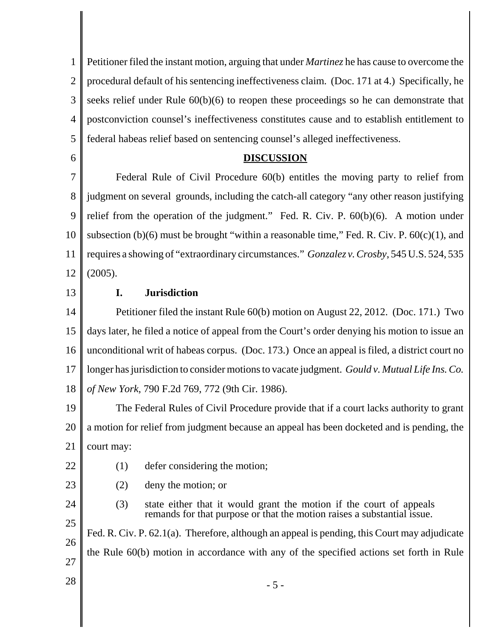1 2 3 4 5 Petitioner filed the instant motion, arguing that under *Martinez* he has cause to overcome the procedural default of his sentencing ineffectiveness claim. (Doc. 171 at 4.) Specifically, he seeks relief under Rule 60(b)(6) to reopen these proceedings so he can demonstrate that postconviction counsel's ineffectiveness constitutes cause and to establish entitlement to federal habeas relief based on sentencing counsel's alleged ineffectiveness.

6

### **DISCUSSION**

7 8 9 10 11 12 Federal Rule of Civil Procedure 60(b) entitles the moving party to relief from judgment on several grounds, including the catch-all category "any other reason justifying relief from the operation of the judgment." Fed. R. Civ. P. 60(b)(6). A motion under subsection (b)(6) must be brought "within a reasonable time," Fed. R. Civ. P.  $60(c)(1)$ , and requires a showing of "extraordinary circumstances." *Gonzalez v. Crosby*, 545 U.S. 524, 535 (2005).

13

# **I. Jurisdiction**

14 15 16 17 18 Petitioner filed the instant Rule 60(b) motion on August 22, 2012. (Doc. 171.) Two days later, he filed a notice of appeal from the Court's order denying his motion to issue an unconditional writ of habeas corpus. (Doc. 173.) Once an appeal is filed, a district court no longer has jurisdiction to consider motions to vacate judgment. *Gould v. Mutual Life Ins. Co. of New York*, 790 F.2d 769, 772 (9th Cir. 1986).

19 20 21 The Federal Rules of Civil Procedure provide that if a court lacks authority to grant a motion for relief from judgment because an appeal has been docketed and is pending, the court may:

- 22
- (1) defer considering the motion;
- 23
- (2) deny the motion; or
- 24 25

26

(3) state either that it would grant the motion if the court of appeals remands for that purpose or that the motion raises a substantial issue. Fed. R. Civ. P. 62.1(a). Therefore, although an appeal is pending, this Court may adjudicate

27

the Rule 60(b) motion in accordance with any of the specified actions set forth in Rule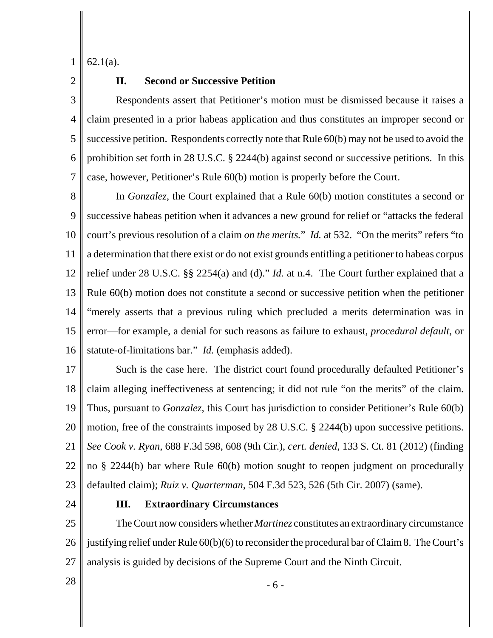1 62.1(a).

2

# **II. Second or Successive Petition**

3 4 5 6 7 Respondents assert that Petitioner's motion must be dismissed because it raises a claim presented in a prior habeas application and thus constitutes an improper second or successive petition. Respondents correctly note that Rule 60(b) may not be used to avoid the prohibition set forth in 28 U.S.C. § 2244(b) against second or successive petitions. In this case, however, Petitioner's Rule 60(b) motion is properly before the Court.

8 9 10 11 12 13 14 15 16 In *Gonzalez*, the Court explained that a Rule 60(b) motion constitutes a second or successive habeas petition when it advances a new ground for relief or "attacks the federal court's previous resolution of a claim *on the merits.*" *Id.* at 532. "On the merits" refers "to a determination that there exist or do not exist grounds entitling a petitioner to habeas corpus relief under 28 U.S.C. §§ 2254(a) and (d)." *Id.* at n.4. The Court further explained that a Rule 60(b) motion does not constitute a second or successive petition when the petitioner "merely asserts that a previous ruling which precluded a merits determination was in error—for example, a denial for such reasons as failure to exhaust, *procedural default*, or statute-of-limitations bar." *Id.* (emphasis added).

17 18 19 20 21 22 23 Such is the case here. The district court found procedurally defaulted Petitioner's claim alleging ineffectiveness at sentencing; it did not rule "on the merits" of the claim. Thus, pursuant to *Gonzalez*, this Court has jurisdiction to consider Petitioner's Rule 60(b) motion, free of the constraints imposed by 28 U.S.C. § 2244(b) upon successive petitions. *See Cook v. Ryan*, 688 F.3d 598, 608 (9th Cir.), *cert. denied*, 133 S. Ct. 81 (2012) (finding no § 2244(b) bar where Rule 60(b) motion sought to reopen judgment on procedurally defaulted claim); *Ruiz v. Quarterman*, 504 F.3d 523, 526 (5th Cir. 2007) (same).

24

#### **III. Extraordinary Circumstances**

25 26 27 The Court now considers whether *Martinez* constitutes an extraordinary circumstance justifying relief under Rule 60(b)(6) to reconsider the procedural bar of Claim 8. The Court's analysis is guided by decisions of the Supreme Court and the Ninth Circuit.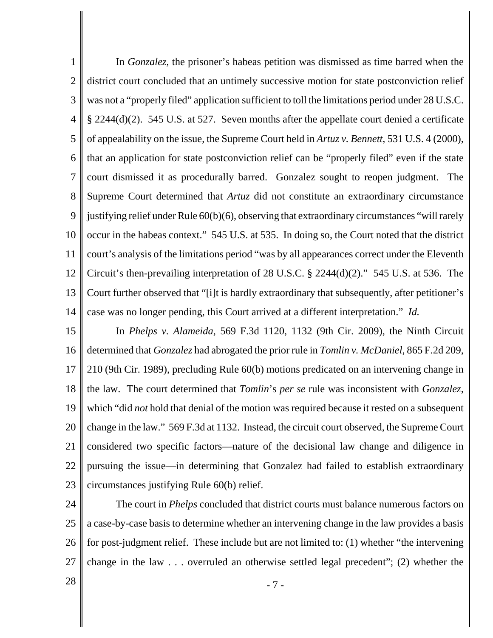1 2 3 4 5 6 7 8 9 10 11 12 13 14 In *Gonzalez*, the prisoner's habeas petition was dismissed as time barred when the district court concluded that an untimely successive motion for state postconviction relief was not a "properly filed" application sufficient to toll the limitations period under 28 U.S.C. § 2244(d)(2). 545 U.S. at 527. Seven months after the appellate court denied a certificate of appealability on the issue, the Supreme Court held in *Artuz v. Bennett*, 531 U.S. 4 (2000), that an application for state postconviction relief can be "properly filed" even if the state court dismissed it as procedurally barred. Gonzalez sought to reopen judgment. The Supreme Court determined that *Artuz* did not constitute an extraordinary circumstance justifying relief under Rule 60(b)(6), observing that extraordinary circumstances "will rarely occur in the habeas context." 545 U.S. at 535. In doing so, the Court noted that the district court's analysis of the limitations period "was by all appearances correct under the Eleventh Circuit's then-prevailing interpretation of 28 U.S.C. § 2244(d)(2)." 545 U.S. at 536. The Court further observed that "[i]t is hardly extraordinary that subsequently, after petitioner's case was no longer pending, this Court arrived at a different interpretation." *Id.*

15 16 17 18 19 20 21 22 23 In *Phelps v. Alameida*, 569 F.3d 1120, 1132 (9th Cir. 2009), the Ninth Circuit determined that *Gonzalez* had abrogated the prior rule in *Tomlin v. McDaniel*, 865 F.2d 209, 210 (9th Cir. 1989), precluding Rule 60(b) motions predicated on an intervening change in the law. The court determined that *Tomlin*'s *per se* rule was inconsistent with *Gonzalez*, which "did *not* hold that denial of the motion was required because it rested on a subsequent change in the law." 569 F.3d at 1132. Instead, the circuit court observed, the Supreme Court considered two specific factors—nature of the decisional law change and diligence in pursuing the issue—in determining that Gonzalez had failed to establish extraordinary circumstances justifying Rule 60(b) relief.

24 25 26 27 The court in *Phelps* concluded that district courts must balance numerous factors on a case-by-case basis to determine whether an intervening change in the law provides a basis for post-judgment relief. These include but are not limited to: (1) whether "the intervening change in the law . . . overruled an otherwise settled legal precedent"; (2) whether the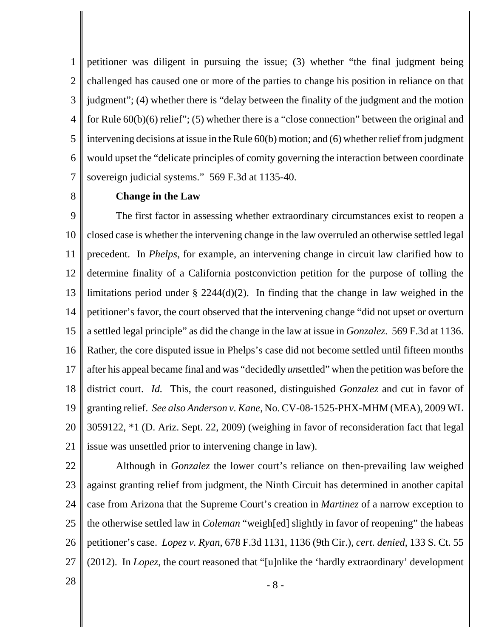1 2 3 4 5 6 7 petitioner was diligent in pursuing the issue; (3) whether "the final judgment being challenged has caused one or more of the parties to change his position in reliance on that judgment"; (4) whether there is "delay between the finality of the judgment and the motion for Rule 60(b)(6) relief"; (5) whether there is a "close connection" between the original and intervening decisions at issue in the Rule 60(b) motion; and (6) whether relief from judgment would upset the "delicate principles of comity governing the interaction between coordinate sovereign judicial systems." 569 F.3d at 1135-40.

8

## **Change in the Law**

9 10 11 12 13 14 15 16 17 18 19 20 21 The first factor in assessing whether extraordinary circumstances exist to reopen a closed case is whether the intervening change in the law overruled an otherwise settled legal precedent. In *Phelps*, for example, an intervening change in circuit law clarified how to determine finality of a California postconviction petition for the purpose of tolling the limitations period under § 2244(d)(2). In finding that the change in law weighed in the petitioner's favor, the court observed that the intervening change "did not upset or overturn a settled legal principle" as did the change in the law at issue in *Gonzalez*. 569 F.3d at 1136. Rather, the core disputed issue in Phelps's case did not become settled until fifteen months after his appeal became final and was "decidedly *un*settled" when the petition was before the district court. *Id.* This, the court reasoned, distinguished *Gonzalez* and cut in favor of granting relief. *See also Anderson v. Kane*, No. CV-08-1525-PHX-MHM (MEA), 2009 WL 3059122, \*1 (D. Ariz. Sept. 22, 2009) (weighing in favor of reconsideration fact that legal issue was unsettled prior to intervening change in law).

22 23 24 25 26 27 Although in *Gonzalez* the lower court's reliance on then-prevailing law weighed against granting relief from judgment, the Ninth Circuit has determined in another capital case from Arizona that the Supreme Court's creation in *Martinez* of a narrow exception to the otherwise settled law in *Coleman* "weigh[ed] slightly in favor of reopening" the habeas petitioner's case. *Lopez v. Ryan*, 678 F.3d 1131, 1136 (9th Cir.), *cert. denied*, 133 S. Ct. 55 (2012).In *Lopez*, the court reasoned that "[u]nlike the 'hardly extraordinary' development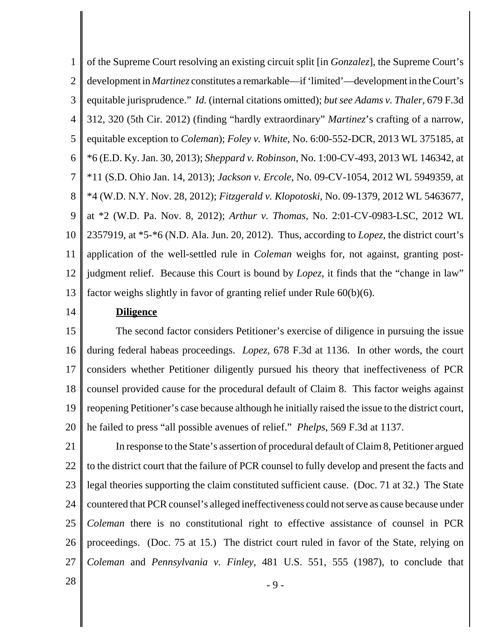1 2 3 4 5 6 7 8 9 10 11 12 13 of the Supreme Court resolving an existing circuit split [in *Gonzalez*], the Supreme Court's development in *Martinez* constitutes a remarkable—if 'limited'—development in the Court's equitable jurisprudence." *Id.* (internal citations omitted); *but see Adams v. Thaler*, 679 F.3d 312, 320 (5th Cir. 2012) (finding "hardly extraordinary" *Martinez*'s crafting of a narrow, equitable exception to *Coleman*); *Foley v. White*, No. 6:00-552-DCR, 2013 WL 375185, at \*6 (E.D. Ky. Jan. 30, 2013); *Sheppard v. Robinson*, No. 1:00-CV-493, 2013 WL 146342, at \*11 (S.D. Ohio Jan. 14, 2013); *Jackson v. Ercole*, No. 09-CV-1054, 2012 WL 5949359, at \*4 (W.D. N.Y. Nov. 28, 2012); *Fitzgerald v. Klopotoski*, No. 09-1379, 2012 WL 5463677, at \*2 (W.D. Pa. Nov. 8, 2012); *Arthur v. Thomas*, No. 2:01-CV-0983-LSC, 2012 WL 2357919, at \*5-\*6 (N.D. Ala. Jun. 20, 2012). Thus, according to *Lopez*, the district court's application of the well-settled rule in *Coleman* weighs for, not against, granting postjudgment relief. Because this Court is bound by *Lopez*, it finds that the "change in law" factor weighs slightly in favor of granting relief under Rule 60(b)(6).

14

### **Diligence**

15 16 17 18 19 20 The second factor considers Petitioner's exercise of diligence in pursuing the issue during federal habeas proceedings. *Lopez*, 678 F.3d at 1136. In other words, the court considers whether Petitioner diligently pursued his theory that ineffectiveness of PCR counsel provided cause for the procedural default of Claim 8. This factor weighs against reopening Petitioner's case because although he initially raised the issue to the district court, he failed to press "all possible avenues of relief." *Phelps*, 569 F.3d at 1137.

21 22 23 24 25 26 27 In response to the State's assertion of procedural default of Claim 8, Petitioner argued to the district court that the failure of PCR counsel to fully develop and present the facts and legal theories supporting the claim constituted sufficient cause. (Doc. 71 at 32.) The State countered that PCR counsel's alleged ineffectiveness could not serve as cause because under *Coleman* there is no constitutional right to effective assistance of counsel in PCR proceedings. (Doc. 75 at 15.) The district court ruled in favor of the State, relying on *Coleman* and *Pennsylvania v. Finley*, 481 U.S. 551, 555 (1987), to conclude that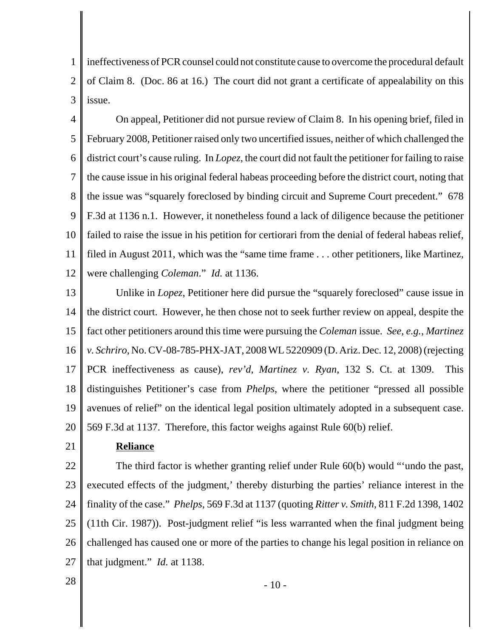1 2 3 ineffectiveness of PCR counsel could not constitute cause to overcome the procedural default of Claim 8. (Doc. 86 at 16.) The court did not grant a certificate of appealability on this issue.

4 5 6 7 8 9 10 11 12 On appeal, Petitioner did not pursue review of Claim 8. In his opening brief, filed in February 2008, Petitioner raised only two uncertified issues, neither of which challenged the district court's cause ruling. In *Lopez*, the court did not fault the petitioner for failing to raise the cause issue in his original federal habeas proceeding before the district court, noting that the issue was "squarely foreclosed by binding circuit and Supreme Court precedent." 678 F.3d at 1136 n.1. However, it nonetheless found a lack of diligence because the petitioner failed to raise the issue in his petition for certiorari from the denial of federal habeas relief, filed in August 2011, which was the "same time frame . . . other petitioners, like Martinez, were challenging *Coleman*." *Id.* at 1136.

13 14 15 16 17 18 19 20 Unlike in *Lopez*, Petitioner here did pursue the "squarely foreclosed" cause issue in the district court. However, he then chose not to seek further review on appeal, despite the fact other petitioners around this time were pursuing the *Coleman* issue. *See, e.g.*, *Martinez v. Schriro*, No. CV-08-785-PHX-JAT, 2008 WL 5220909 (D. Ariz. Dec. 12, 2008) (rejecting PCR ineffectiveness as cause), *rev'd*, *Martinez v. Ryan*, 132 S. Ct. at 1309. This distinguishes Petitioner's case from *Phelps*, where the petitioner "pressed all possible avenues of relief" on the identical legal position ultimately adopted in a subsequent case. 569 F.3d at 1137. Therefore, this factor weighs against Rule 60(b) relief.

21

## **Reliance**

22 23 24 25 26 27 The third factor is whether granting relief under Rule 60(b) would "'undo the past, executed effects of the judgment,' thereby disturbing the parties' reliance interest in the finality of the case." *Phelps*, 569 F.3d at 1137 (quoting *Ritter v. Smith*, 811 F.2d 1398, 1402 (11th Cir. 1987)). Post-judgment relief "is less warranted when the final judgment being challenged has caused one or more of the parties to change his legal position in reliance on that judgment." *Id.* at 1138.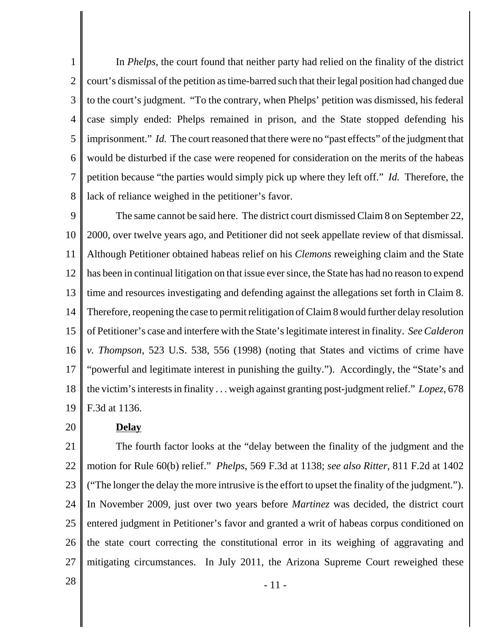1 2 3 4 5 6 7 8 In *Phelps*, the court found that neither party had relied on the finality of the district court's dismissal of the petition as time-barred such that their legal position had changed due to the court's judgment. "To the contrary, when Phelps' petition was dismissed, his federal case simply ended: Phelps remained in prison, and the State stopped defending his imprisonment." *Id.* The court reasoned that there were no "past effects" of the judgment that would be disturbed if the case were reopened for consideration on the merits of the habeas petition because "the parties would simply pick up where they left off." *Id.* Therefore, the lack of reliance weighed in the petitioner's favor.

9 10 11 12 13 14 15 16 17 18 19 The same cannot be said here. The district court dismissed Claim 8 on September 22, 2000, over twelve years ago, and Petitioner did not seek appellate review of that dismissal. Although Petitioner obtained habeas relief on his *Clemons* reweighing claim and the State has been in continual litigation on that issue ever since, the State has had no reason to expend time and resources investigating and defending against the allegations set forth in Claim 8. Therefore, reopening the case to permit relitigation of Claim 8 would further delay resolution of Petitioner's case and interfere with the State's legitimate interest in finality. *See Calderon v. Thompson*, 523 U.S. 538, 556 (1998) (noting that States and victims of crime have "powerful and legitimate interest in punishing the guilty."). Accordingly, the "State's and the victim's interests in finality . . . weigh against granting post-judgment relief." *Lopez*, 678 F.3d at 1136.

#### **Delay**

21 22 23 24 25 26 27 The fourth factor looks at the "delay between the finality of the judgment and the motion for Rule 60(b) relief." *Phelps*, 569 F.3d at 1138; *see also Ritter*, 811 F.2d at 1402 ("The longer the delay the more intrusive is the effort to upset the finality of the judgment."). In November 2009, just over two years before *Martinez* was decided, the district court entered judgment in Petitioner's favor and granted a writ of habeas corpus conditioned on the state court correcting the constitutional error in its weighing of aggravating and mitigating circumstances. In July 2011, the Arizona Supreme Court reweighed these

20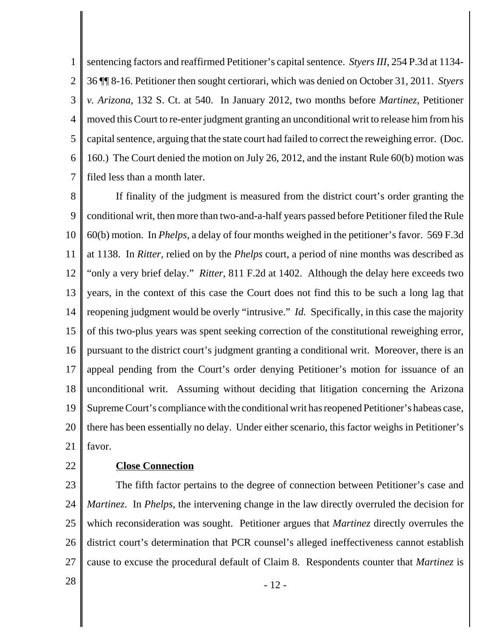1 2 3 4 5 6 7 sentencing factors and reaffirmed Petitioner's capital sentence. *Styers III*, 254 P.3d at 1134- 36 ¶¶ 8-16. Petitioner then sought certiorari, which was denied on October 31, 2011. *Styers v. Arizona*, 132 S. Ct. at 540. In January 2012, two months before *Martinez*, Petitioner moved this Court to re-enter judgment granting an unconditional writ to release him from his capital sentence, arguing that the state court had failed to correct the reweighing error. (Doc. 160.) The Court denied the motion on July 26, 2012, and the instant Rule 60(b) motion was filed less than a month later.

8 9 10 11 12 13 14 15 16 17 18 19 20 21 If finality of the judgment is measured from the district court's order granting the conditional writ, then more than two-and-a-half years passed before Petitioner filed the Rule 60(b) motion. In *Phelps*, a delay of four months weighed in the petitioner's favor. 569 F.3d at 1138. In *Ritter*, relied on by the *Phelps* court, a period of nine months was described as "only a very brief delay." *Ritter*, 811 F.2d at 1402. Although the delay here exceeds two years, in the context of this case the Court does not find this to be such a long lag that reopening judgment would be overly "intrusive." *Id.* Specifically, in this case the majority of this two-plus years was spent seeking correction of the constitutional reweighing error, pursuant to the district court's judgment granting a conditional writ. Moreover, there is an appeal pending from the Court's order denying Petitioner's motion for issuance of an unconditional writ. Assuming without deciding that litigation concerning the Arizona Supreme Court's compliance with the conditional writ has reopened Petitioner's habeas case, there has been essentially no delay. Under either scenario, this factor weighs in Petitioner's favor.

22

### **Close Connection**

23 24 25 26 27 The fifth factor pertains to the degree of connection between Petitioner's case and *Martinez*. In *Phelps*, the intervening change in the law directly overruled the decision for which reconsideration was sought. Petitioner argues that *Martinez* directly overrules the district court's determination that PCR counsel's alleged ineffectiveness cannot establish cause to excuse the procedural default of Claim 8. Respondents counter that *Martinez* is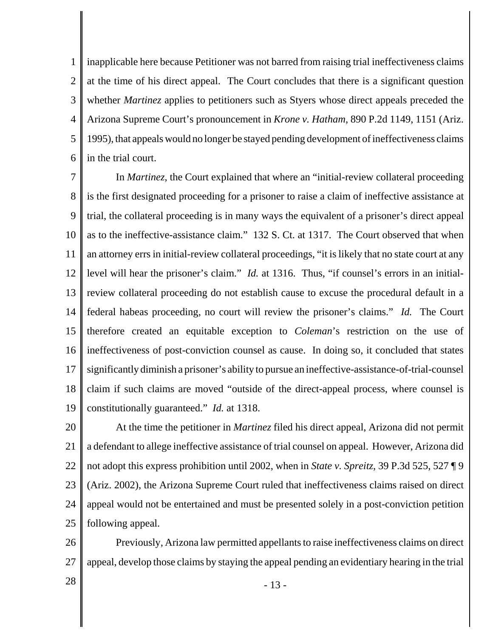1 2 3 4 5 6 inapplicable here because Petitioner was not barred from raising trial ineffectiveness claims at the time of his direct appeal. The Court concludes that there is a significant question whether *Martinez* applies to petitioners such as Styers whose direct appeals preceded the Arizona Supreme Court's pronouncement in *Krone v. Hatham*, 890 P.2d 1149, 1151 (Ariz. 1995), that appeals would no longer be stayed pending development of ineffectiveness claims in the trial court.

7 8 9 10 11 12 13 14 15 16 17 18 19 In *Martinez*, the Court explained that where an "initial-review collateral proceeding is the first designated proceeding for a prisoner to raise a claim of ineffective assistance at trial, the collateral proceeding is in many ways the equivalent of a prisoner's direct appeal as to the ineffective-assistance claim." 132 S. Ct. at 1317. The Court observed that when an attorney errs in initial-review collateral proceedings, "it is likely that no state court at any level will hear the prisoner's claim." *Id.* at 1316. Thus, "if counsel's errors in an initialreview collateral proceeding do not establish cause to excuse the procedural default in a federal habeas proceeding, no court will review the prisoner's claims." *Id.* The Court therefore created an equitable exception to *Coleman*'s restriction on the use of ineffectiveness of post-conviction counsel as cause. In doing so, it concluded that states significantly diminish a prisoner's ability to pursue an ineffective-assistance-of-trial-counsel claim if such claims are moved "outside of the direct-appeal process, where counsel is constitutionally guaranteed." *Id.* at 1318.

20 21 22 23 24 25 At the time the petitioner in *Martinez* filed his direct appeal, Arizona did not permit a defendant to allege ineffective assistance of trial counsel on appeal. However, Arizona did not adopt this express prohibition until 2002, when in *State v. Spreitz*, 39 P.3d 525, 527 ¶ 9 (Ariz. 2002), the Arizona Supreme Court ruled that ineffectiveness claims raised on direct appeal would not be entertained and must be presented solely in a post-conviction petition following appeal.

26 27 Previously, Arizona law permitted appellants to raise ineffectiveness claims on direct appeal, develop those claims by staying the appeal pending an evidentiary hearing in the trial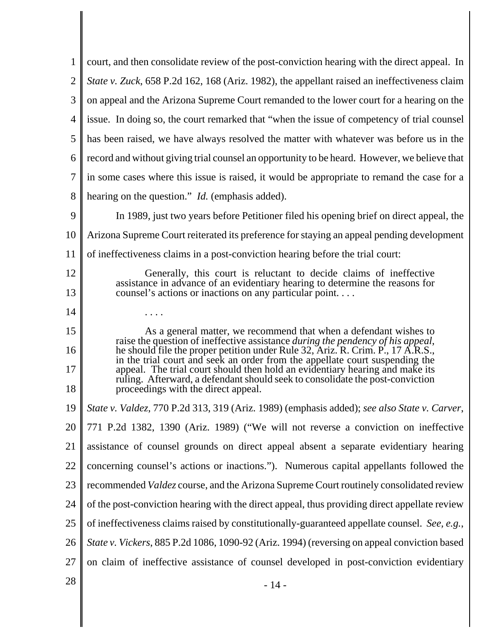| 1              | court, and then consolidate review of the post-conviction hearing with the direct appeal. In                                                                       |
|----------------|--------------------------------------------------------------------------------------------------------------------------------------------------------------------|
| $\overline{2}$ | State v. Zuck, 658 P.2d 162, 168 (Ariz. 1982), the appellant raised an ineffectiveness claim                                                                       |
| 3              | on appeal and the Arizona Supreme Court remanded to the lower court for a hearing on the                                                                           |
| $\overline{4}$ | issue. In doing so, the court remarked that "when the issue of competency of trial counsel                                                                         |
| 5              | has been raised, we have always resolved the matter with whatever was before us in the                                                                             |
| 6              | record and without giving trial counsel an opportunity to be heard. However, we believe that                                                                       |
| 7              | in some cases where this issue is raised, it would be appropriate to remand the case for a                                                                         |
| 8              | hearing on the question." <i>Id.</i> (emphasis added).                                                                                                             |
| 9              | In 1989, just two years before Petitioner filed his opening brief on direct appeal, the                                                                            |
| 10             | Arizona Supreme Court reiterated its preference for staying an appeal pending development                                                                          |
| 11             | of ineffectiveness claims in a post-conviction hearing before the trial court:                                                                                     |
| 12             | Generally, this court is reluctant to decide claims of ineffective                                                                                                 |
| 13             | assistance in advance of an evidentiary hearing to determine the reasons for<br>counsel's actions or inactions on any particular point                             |
| 14             |                                                                                                                                                                    |
| 15             | As a general matter, we recommend that when a defendant wishes to                                                                                                  |
| 16             | raise the question of ineffective assistance during the pendency of his appeal,<br>he should file the proper petition under Rule 32, Ariz. R. Crim. P., 17 A.R.S., |
| 17             | in the trial court and seek an order from the appellate court suspending the<br>appeal. The trial court should then hold an evidentiary hearing and make its       |
| 18             | ruling. Afterward, a defendant should seek to consolidate the post-conviction<br>proceedings with the direct appeal.                                               |
| 19             | State v. Valdez, 770 P.2d 313, 319 (Ariz. 1989) (emphasis added); see also State v. Carver,                                                                        |
| 20             | 771 P.2d 1382, 1390 (Ariz. 1989) ("We will not reverse a conviction on ineffective                                                                                 |
| 21             | assistance of counsel grounds on direct appeal absent a separate evidentiary hearing                                                                               |
| 22             | concerning counsel's actions or inactions."). Numerous capital appellants followed the                                                                             |
| 23             | recommended Valdez course, and the Arizona Supreme Court routinely consolidated review                                                                             |
| 24             | of the post-conviction hearing with the direct appeal, thus providing direct appellate review                                                                      |
| 25             | of ineffectiveness claims raised by constitutionally-guaranteed appellate counsel. See, e.g.,                                                                      |
| 26             | State v. Vickers, 885 P.2d 1086, 1090-92 (Ariz. 1994) (reversing on appeal conviction based                                                                        |
| 27             | on claim of ineffective assistance of counsel developed in post-conviction evidentiary                                                                             |
| 28             | $-14-$                                                                                                                                                             |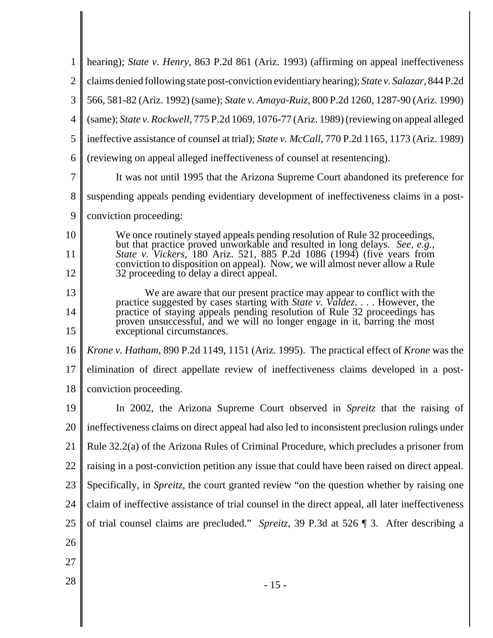|                | hearing); State v. Henry, 863 P.2d 861 (Ariz. 1993) (affirming on appeal ineffectiveness                                                                 |  |
|----------------|----------------------------------------------------------------------------------------------------------------------------------------------------------|--|
| $\overline{2}$ | claims denied following state post-conviction evidentiary hearing); State v. Salazar, 844 P.2d                                                           |  |
| 3              | 566, 581-82 (Ariz. 1992) (same); State v. Amaya-Ruiz, 800 P.2d 1260, 1287-90 (Ariz. 1990)                                                                |  |
| 4              | (same); State v. Rockwell, 775 P.2d 1069, 1076-77 (Ariz. 1989) (reviewing on appeal alleged                                                              |  |
| 5              | ineffective assistance of counsel at trial); State v. McCall, 770 P.2d 1165, 1173 (Ariz. 1989)                                                           |  |
| 6              | (reviewing on appeal alleged ineffectiveness of counsel at resentencing).                                                                                |  |
| $\overline{7}$ | It was not until 1995 that the Arizona Supreme Court abandoned its preference for                                                                        |  |
| 8              | suspending appeals pending evidentiary development of ineffectiveness claims in a post-                                                                  |  |
| 9              | conviction proceeding:                                                                                                                                   |  |
| 10             | We once routinely stayed appeals pending resolution of Rule 32 proceedings,                                                                              |  |
| 11             | but that practice proved unworkable and resulted in long delays. See, e.g.,<br>State v. Vickers, 180 Ariz. 521, 885 P.2d 1086 (1994) (five years from    |  |
| 12             | conviction to disposition on appeal). Now, we will almost never allow a Rule<br>32 proceeding to delay a direct appeal.                                  |  |
| 13             | We are aware that our present practice may appear to conflict with the<br>practice suggested by cases starting with <i>State v. Valdez.</i> However, the |  |
| 14             | practice of staying appeals pending resolution of Rule 32 proceedings has<br>proven unsuccessful, and we will no longer engage in it, barring the most   |  |
| 15             | exceptional circumstances.                                                                                                                               |  |
| 16             | <i>Krone v. Hatham, 890 P.2d 1149, 1151 (Ariz. 1995). The practical effect of Krone was the</i>                                                          |  |
| 17             | elimination of direct appellate review of ineffectiveness claims developed in a post-                                                                    |  |
| 18             | conviction proceeding.                                                                                                                                   |  |
| 19             | In 2002, the Arizona Supreme Court observed in Spreitz that the raising of                                                                               |  |
| 20             | ineffectiveness claims on direct appeal had also led to inconsistent preclusion rulings under                                                            |  |
| 21             | Rule 32.2(a) of the Arizona Rules of Criminal Procedure, which precludes a prisoner from                                                                 |  |
| 22             | raising in a post-conviction petition any issue that could have been raised on direct appeal.                                                            |  |
| 23             | Specifically, in Spreitz, the court granted review "on the question whether by raising one                                                               |  |
| 24             | claim of ineffective assistance of trial counsel in the direct appeal, all later ineffectiveness                                                         |  |
| 25             | of trial counsel claims are precluded." Spreitz, 39 P.3d at 526 ¶ 3. After describing a                                                                  |  |
| 26             |                                                                                                                                                          |  |
| 27             |                                                                                                                                                          |  |
| 28             | $-15-$                                                                                                                                                   |  |
|                |                                                                                                                                                          |  |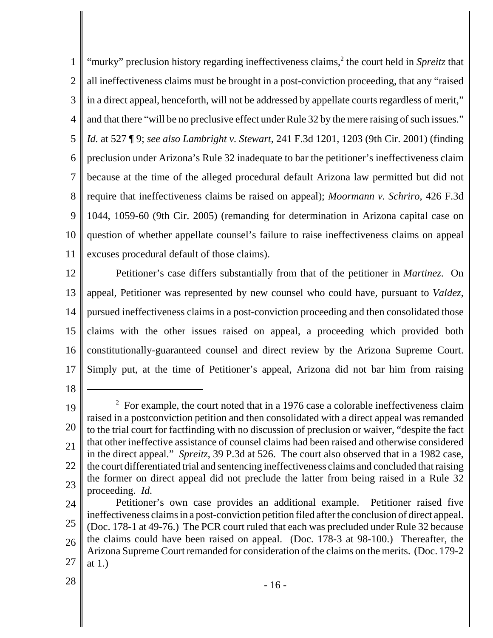1 2 3 4 5 6 7 8 9 10 11 "murky" preclusion history regarding ineffectiveness claims,<sup>2</sup> the court held in *Spreitz* that all ineffectiveness claims must be brought in a post-conviction proceeding, that any "raised in a direct appeal, henceforth, will not be addressed by appellate courts regardless of merit," and that there "will be no preclusive effect under Rule 32 by the mere raising of such issues." *Id.* at 527 ¶ 9; *see also Lambright v. Stewart*, 241 F.3d 1201, 1203 (9th Cir. 2001) (finding preclusion under Arizona's Rule 32 inadequate to bar the petitioner's ineffectiveness claim because at the time of the alleged procedural default Arizona law permitted but did not require that ineffectiveness claims be raised on appeal); *Moormann v. Schriro*, 426 F.3d 1044, 1059-60 (9th Cir. 2005) (remanding for determination in Arizona capital case on question of whether appellate counsel's failure to raise ineffectiveness claims on appeal excuses procedural default of those claims).

12 13 14 15 16 17 Petitioner's case differs substantially from that of the petitioner in *Martinez*. On appeal, Petitioner was represented by new counsel who could have, pursuant to *Valdez*, pursued ineffectiveness claims in a post-conviction proceeding and then consolidated those claims with the other issues raised on appeal, a proceeding which provided both constitutionally-guaranteed counsel and direct review by the Arizona Supreme Court. Simply put, at the time of Petitioner's appeal, Arizona did not bar him from raising

18

28

<sup>19</sup> 20 21 22 23  $2^2$  For example, the court noted that in a 1976 case a colorable ineffectiveness claim raised in a postconviction petition and then consolidated with a direct appeal was remanded to the trial court for factfinding with no discussion of preclusion or waiver, "despite the fact that other ineffective assistance of counsel claims had been raised and otherwise considered in the direct appeal." *Spreitz*, 39 P.3d at 526. The court also observed that in a 1982 case, the court differentiated trial and sentencing ineffectiveness claims and concluded that raising the former on direct appeal did not preclude the latter from being raised in a Rule 32 proceeding. *Id.*

<sup>24</sup> 25 26 27 Petitioner's own case provides an additional example. Petitioner raised five ineffectiveness claims in a post-conviction petition filed after the conclusion of direct appeal. (Doc. 178-1 at 49-76.) The PCR court ruled that each was precluded under Rule 32 because the claims could have been raised on appeal. (Doc. 178-3 at 98-100.) Thereafter, the Arizona Supreme Court remanded for consideration of the claims on the merits. (Doc. 179-2 at 1.)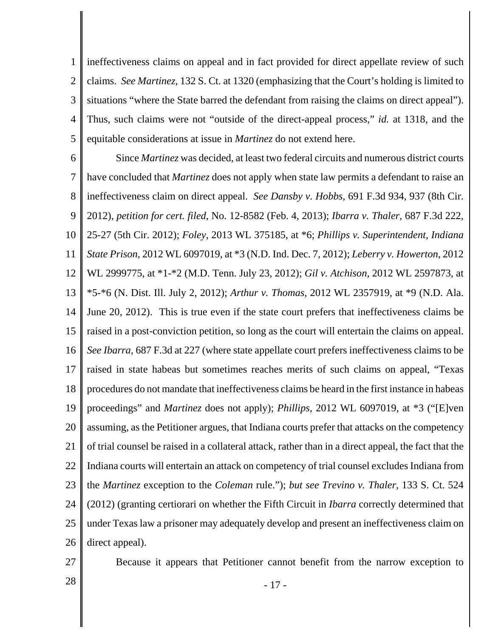1 2 3 4 5 ineffectiveness claims on appeal and in fact provided for direct appellate review of such claims. *See Martinez*, 132 S. Ct. at 1320 (emphasizing that the Court's holding is limited to situations "where the State barred the defendant from raising the claims on direct appeal"). Thus, such claims were not "outside of the direct-appeal process," *id.* at 1318, and the equitable considerations at issue in *Martinez* do not extend here.

6 7 8 9 10 11 12 13 14 15 16 17 18 19 20 21 22 23 24 25 26 Since *Martinez* was decided, at least two federal circuits and numerous district courts have concluded that *Martinez* does not apply when state law permits a defendant to raise an ineffectiveness claim on direct appeal. *See Dansby v. Hobbs*, 691 F.3d 934, 937 (8th Cir. 2012), *petition for cert. filed*, No. 12-8582 (Feb. 4, 2013); *Ibarra v. Thaler*, 687 F.3d 222, 25-27 (5th Cir. 2012); *Foley*, 2013 WL 375185, at \*6; *Phillips v. Superintendent, Indiana State Prison*, 2012 WL 6097019, at \*3 (N.D. Ind. Dec. 7, 2012); *Leberry v. Howerton*, 2012 WL 2999775, at \*1-\*2 (M.D. Tenn. July 23, 2012); *Gil v. Atchison*, 2012 WL 2597873, at \*5-\*6 (N. Dist. Ill. July 2, 2012); *Arthur v. Thomas*, 2012 WL 2357919, at \*9 (N.D. Ala. June 20, 2012). This is true even if the state court prefers that ineffectiveness claims be raised in a post-conviction petition, so long as the court will entertain the claims on appeal. *See Ibarra*, 687 F.3d at 227 (where state appellate court prefers ineffectiveness claims to be raised in state habeas but sometimes reaches merits of such claims on appeal, "Texas procedures do not mandate that ineffectiveness claims be heard in the first instance in habeas proceedings" and *Martinez* does not apply); *Phillips*, 2012 WL 6097019, at \*3 ("[E]ven assuming, as the Petitioner argues, that Indiana courts prefer that attacks on the competency of trial counsel be raised in a collateral attack, rather than in a direct appeal, the fact that the Indiana courts will entertain an attack on competency of trial counsel excludes Indiana from the *Martinez* exception to the *Coleman* rule."); *but see Trevino v. Thaler*, 133 S. Ct. 524 (2012) (granting certiorari on whether the Fifth Circuit in *Ibarra* correctly determined that under Texas law a prisoner may adequately develop and present an ineffectiveness claim on direct appeal).

- 27
- 

Because it appears that Petitioner cannot benefit from the narrow exception to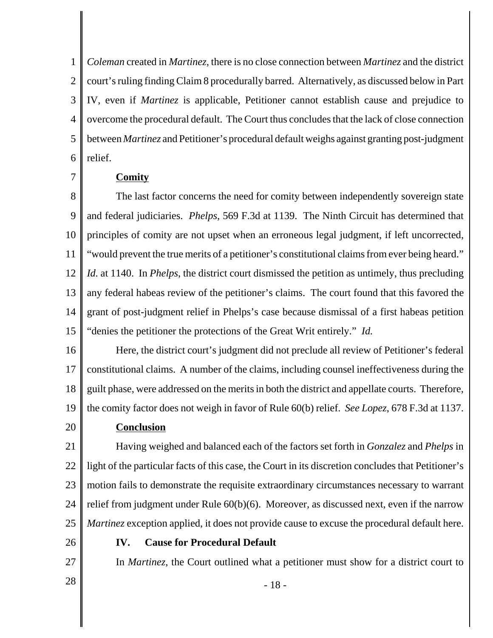1 2 3 4 5 6 *Coleman* created in *Martinez,* there is no close connection between *Martinez* and the district court's ruling finding Claim 8 procedurally barred. Alternatively, as discussed below in Part IV, even if *Martinez* is applicable, Petitioner cannot establish cause and prejudice to overcome the procedural default. The Court thus concludes that the lack of close connection between *Martinez* and Petitioner's procedural default weighs against granting post-judgment relief.

#### **Comity**

7

8 9 10 11 12 13 14 15 The last factor concerns the need for comity between independently sovereign state and federal judiciaries. *Phelps*, 569 F.3d at 1139. The Ninth Circuit has determined that principles of comity are not upset when an erroneous legal judgment, if left uncorrected, "would prevent the true merits of a petitioner's constitutional claims from ever being heard." *Id.* at 1140. In *Phelps*, the district court dismissed the petition as untimely, thus precluding any federal habeas review of the petitioner's claims. The court found that this favored the grant of post-judgment relief in Phelps's case because dismissal of a first habeas petition "denies the petitioner the protections of the Great Writ entirely." *Id.*

16 17 18 19 Here, the district court's judgment did not preclude all review of Petitioner's federal constitutional claims. A number of the claims, including counsel ineffectiveness during the guilt phase, were addressed on the merits in both the district and appellate courts. Therefore, the comity factor does not weigh in favor of Rule 60(b) relief. *See Lopez*, 678 F.3d at 1137.

# 20

**Conclusion**

21 22 23 24 25 Having weighed and balanced each of the factors set forth in *Gonzalez* and *Phelps* in light of the particular facts of this case, the Court in its discretion concludes that Petitioner's motion fails to demonstrate the requisite extraordinary circumstances necessary to warrant relief from judgment under Rule 60(b)(6). Moreover, as discussed next, even if the narrow *Martinez* exception applied, it does not provide cause to excuse the procedural default here.

- 26
- **IV. Cause for Procedural Default**

In *Martinez*, the Court outlined what a petitioner must show for a district court to

27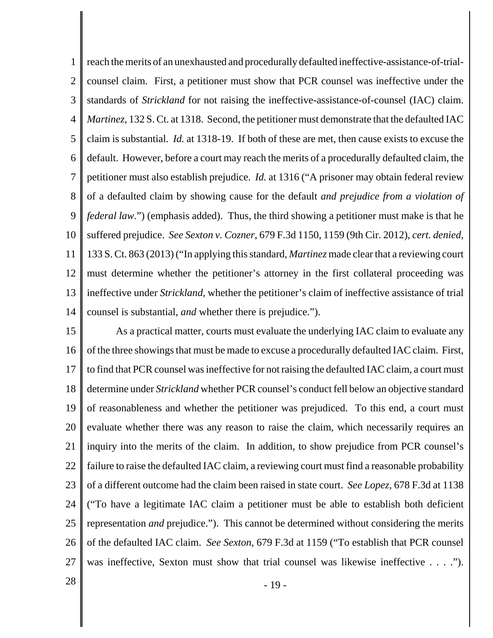1 2 3 4 5 6 7 8 9 10 11 12 13 14 reach the merits of an unexhausted and procedurally defaulted ineffective-assistance-of-trialcounsel claim. First, a petitioner must show that PCR counsel was ineffective under the standards of *Strickland* for not raising the ineffective-assistance-of-counsel (IAC) claim. *Martinez*, 132 S. Ct. at 1318. Second, the petitioner must demonstrate that the defaulted IAC claim is substantial. *Id.* at 1318-19. If both of these are met, then cause exists to excuse the default. However, before a court may reach the merits of a procedurally defaulted claim, the petitioner must also establish prejudice. *Id.* at 1316 ("A prisoner may obtain federal review of a defaulted claim by showing cause for the default *and prejudice from a violation of federal law*.") (emphasis added). Thus, the third showing a petitioner must make is that he suffered prejudice. *See Sexton v. Cozner*, 679 F.3d 1150, 1159 (9th Cir. 2012), *cert. denied*, 133 S. Ct. 863 (2013) ("In applying this standard, *Martinez* made clear that a reviewing court must determine whether the petitioner's attorney in the first collateral proceeding was ineffective under *Strickland*, whether the petitioner's claim of ineffective assistance of trial counsel is substantial, *and* whether there is prejudice.").

15 16 17 18 19 20 21 22 23 24 25 26 27 As a practical matter, courts must evaluate the underlying IAC claim to evaluate any of the three showings that must be made to excuse a procedurally defaulted IAC claim. First, to find that PCR counsel was ineffective for not raising the defaulted IAC claim, a court must determine under *Strickland* whether PCR counsel's conduct fell below an objective standard of reasonableness and whether the petitioner was prejudiced. To this end, a court must evaluate whether there was any reason to raise the claim, which necessarily requires an inquiry into the merits of the claim. In addition, to show prejudice from PCR counsel's failure to raise the defaulted IAC claim, a reviewing court must find a reasonable probability of a different outcome had the claim been raised in state court. *See Lopez*, 678 F.3d at 1138 ("To have a legitimate IAC claim a petitioner must be able to establish both deficient representation *and* prejudice."). This cannot be determined without considering the merits of the defaulted IAC claim. *See Sexton*, 679 F.3d at 1159 ("To establish that PCR counsel was ineffective, Sexton must show that trial counsel was likewise ineffective . . . .").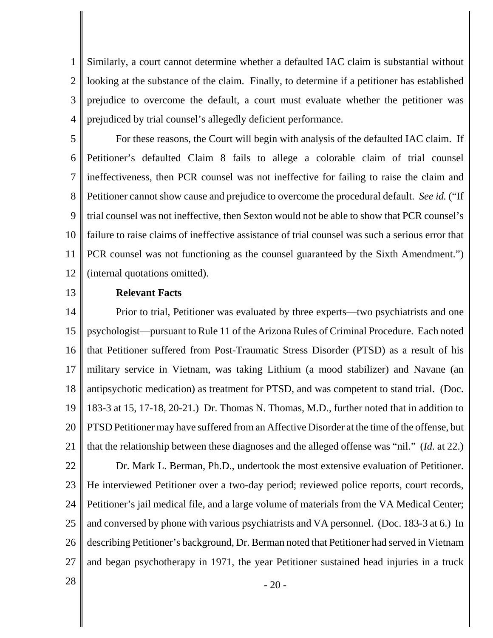1 2 3 4 Similarly, a court cannot determine whether a defaulted IAC claim is substantial without looking at the substance of the claim. Finally, to determine if a petitioner has established prejudice to overcome the default, a court must evaluate whether the petitioner was prejudiced by trial counsel's allegedly deficient performance.

5 6 7 8 9 10 11 12 For these reasons, the Court will begin with analysis of the defaulted IAC claim. If Petitioner's defaulted Claim 8 fails to allege a colorable claim of trial counsel ineffectiveness, then PCR counsel was not ineffective for failing to raise the claim and Petitioner cannot show cause and prejudice to overcome the procedural default. *See id.* ("If trial counsel was not ineffective, then Sexton would not be able to show that PCR counsel's failure to raise claims of ineffective assistance of trial counsel was such a serious error that PCR counsel was not functioning as the counsel guaranteed by the Sixth Amendment.") (internal quotations omitted).

13

### **Relevant Facts**

14 15 16 17 18 19 20 21 22 23 24 25 26 27 Prior to trial, Petitioner was evaluated by three experts—two psychiatrists and one psychologist—pursuant to Rule 11 of the Arizona Rules of Criminal Procedure. Each noted that Petitioner suffered from Post-Traumatic Stress Disorder (PTSD) as a result of his military service in Vietnam, was taking Lithium (a mood stabilizer) and Navane (an antipsychotic medication) as treatment for PTSD, and was competent to stand trial. (Doc. 183-3 at 15, 17-18, 20-21.) Dr. Thomas N. Thomas, M.D., further noted that in addition to PTSD Petitioner may have suffered from an Affective Disorder at the time of the offense, but that the relationship between these diagnoses and the alleged offense was "nil." (*Id.* at 22.) Dr. Mark L. Berman, Ph.D., undertook the most extensive evaluation of Petitioner. He interviewed Petitioner over a two-day period; reviewed police reports, court records, Petitioner's jail medical file, and a large volume of materials from the VA Medical Center; and conversed by phone with various psychiatrists and VA personnel. (Doc. 183-3 at 6.) In describing Petitioner's background, Dr. Berman noted that Petitioner had served in Vietnam and began psychotherapy in 1971, the year Petitioner sustained head injuries in a truck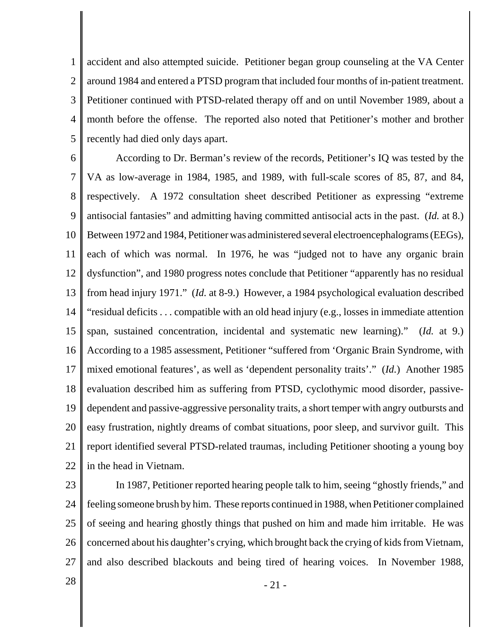1 2 3 4 5 accident and also attempted suicide. Petitioner began group counseling at the VA Center around 1984 and entered a PTSD program that included four months of in-patient treatment. Petitioner continued with PTSD-related therapy off and on until November 1989, about a month before the offense. The reported also noted that Petitioner's mother and brother recently had died only days apart.

6 7 8 9 10 11 12 13 14 15 16 17 18 19 20 21 22 According to Dr. Berman's review of the records, Petitioner's IQ was tested by the VA as low-average in 1984, 1985, and 1989, with full-scale scores of 85, 87, and 84, respectively. A 1972 consultation sheet described Petitioner as expressing "extreme antisocial fantasies" and admitting having committed antisocial acts in the past. (*Id.* at 8.) Between 1972 and 1984, Petitioner was administered several electroencephalograms (EEGs), each of which was normal. In 1976, he was "judged not to have any organic brain dysfunction", and 1980 progress notes conclude that Petitioner "apparently has no residual from head injury 1971." (*Id.* at 8-9.) However, a 1984 psychological evaluation described "residual deficits . . . compatible with an old head injury (e.g., losses in immediate attention span, sustained concentration, incidental and systematic new learning)." (*Id.* at 9.) According to a 1985 assessment, Petitioner "suffered from 'Organic Brain Syndrome, with mixed emotional features', as well as 'dependent personality traits'." (*Id.*) Another 1985 evaluation described him as suffering from PTSD, cyclothymic mood disorder, passivedependent and passive-aggressive personality traits, a short temper with angry outbursts and easy frustration, nightly dreams of combat situations, poor sleep, and survivor guilt. This report identified several PTSD-related traumas, including Petitioner shooting a young boy in the head in Vietnam.

23

24 25 26 27 In 1987, Petitioner reported hearing people talk to him, seeing "ghostly friends," and feeling someone brush by him. These reports continued in 1988, when Petitioner complained of seeing and hearing ghostly things that pushed on him and made him irritable. He was concerned about his daughter's crying, which brought back the crying of kids from Vietnam, and also described blackouts and being tired of hearing voices. In November 1988,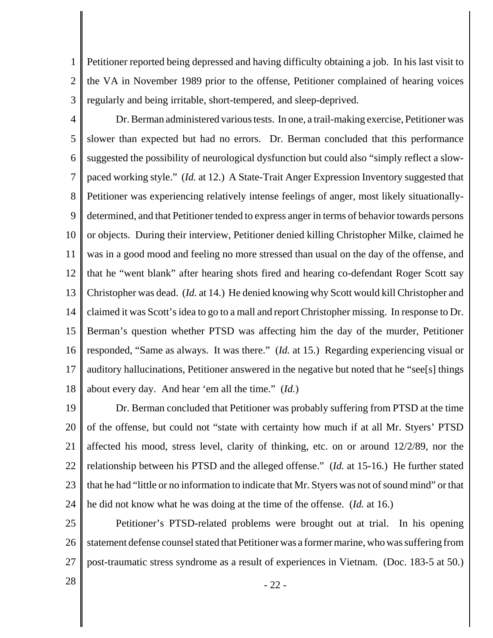1 2 3 Petitioner reported being depressed and having difficulty obtaining a job. In his last visit to the VA in November 1989 prior to the offense, Petitioner complained of hearing voices regularly and being irritable, short-tempered, and sleep-deprived.

4 5 6 7 8 9 10 11 12 13 14 15 16 17 18 Dr. Berman administered various tests. In one, a trail-making exercise, Petitioner was slower than expected but had no errors. Dr. Berman concluded that this performance suggested the possibility of neurological dysfunction but could also "simply reflect a slowpaced working style." (*Id.* at 12.) A State-Trait Anger Expression Inventory suggested that Petitioner was experiencing relatively intense feelings of anger, most likely situationallydetermined, and that Petitioner tended to express anger in terms of behavior towards persons or objects. During their interview, Petitioner denied killing Christopher Milke, claimed he was in a good mood and feeling no more stressed than usual on the day of the offense, and that he "went blank" after hearing shots fired and hearing co-defendant Roger Scott say Christopher was dead. (*Id.* at 14.) He denied knowing why Scott would kill Christopher and claimed it was Scott's idea to go to a mall and report Christopher missing. In response to Dr. Berman's question whether PTSD was affecting him the day of the murder, Petitioner responded, "Same as always. It was there." (*Id.* at 15.) Regarding experiencing visual or auditory hallucinations, Petitioner answered in the negative but noted that he "see[s] things about every day. And hear 'em all the time." (*Id.*)

19 20 21 22 23 24 Dr. Berman concluded that Petitioner was probably suffering from PTSD at the time of the offense, but could not "state with certainty how much if at all Mr. Styers' PTSD affected his mood, stress level, clarity of thinking, etc. on or around 12/2/89, nor the relationship between his PTSD and the alleged offense." (*Id.* at 15-16.) He further stated that he had "little or no information to indicate that Mr. Styers was not of sound mind" or that he did not know what he was doing at the time of the offense. (*Id.* at 16.)

25 26 27 Petitioner's PTSD-related problems were brought out at trial. In his opening statement defense counsel stated that Petitioner was a former marine, who was suffering from post-traumatic stress syndrome as a result of experiences in Vietnam. (Doc. 183-5 at 50.)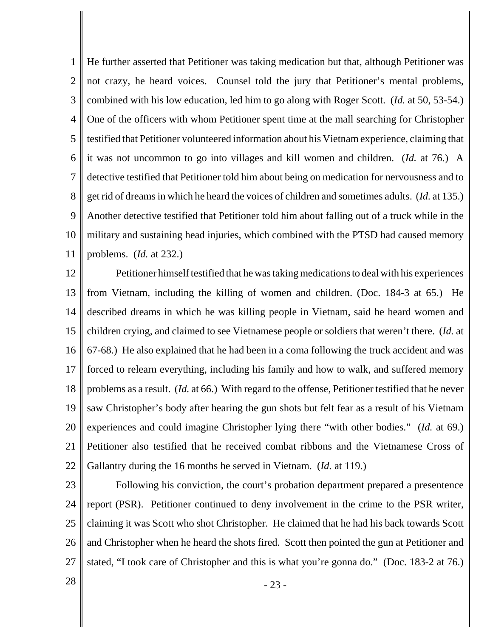1 2 3 4 5 6 7 8 9 10 11 He further asserted that Petitioner was taking medication but that, although Petitioner was not crazy, he heard voices. Counsel told the jury that Petitioner's mental problems, combined with his low education, led him to go along with Roger Scott. (*Id.* at 50, 53-54.) One of the officers with whom Petitioner spent time at the mall searching for Christopher testified that Petitioner volunteered information about his Vietnam experience, claiming that it was not uncommon to go into villages and kill women and children. (*Id.* at 76.) A detective testified that Petitioner told him about being on medication for nervousness and to get rid of dreams in which he heard the voices of children and sometimes adults. (*Id.* at 135.) Another detective testified that Petitioner told him about falling out of a truck while in the military and sustaining head injuries, which combined with the PTSD had caused memory problems. (*Id.* at 232.)

12 13 14 15 16 17 18 19 20 21 22 Petitioner himself testified that he was taking medications to deal with his experiences from Vietnam, including the killing of women and children. (Doc. 184-3 at 65.) He described dreams in which he was killing people in Vietnam, said he heard women and children crying, and claimed to see Vietnamese people or soldiers that weren't there. (*Id.* at 67-68.) He also explained that he had been in a coma following the truck accident and was forced to relearn everything, including his family and how to walk, and suffered memory problems as a result. (*Id.* at 66.) With regard to the offense, Petitioner testified that he never saw Christopher's body after hearing the gun shots but felt fear as a result of his Vietnam experiences and could imagine Christopher lying there "with other bodies." (*Id.* at 69.) Petitioner also testified that he received combat ribbons and the Vietnamese Cross of Gallantry during the 16 months he served in Vietnam. (*Id.* at 119.)

23

24 25 26 27 Following his conviction, the court's probation department prepared a presentence report (PSR). Petitioner continued to deny involvement in the crime to the PSR writer, claiming it was Scott who shot Christopher. He claimed that he had his back towards Scott and Christopher when he heard the shots fired. Scott then pointed the gun at Petitioner and stated, "I took care of Christopher and this is what you're gonna do." (Doc. 183-2 at 76.)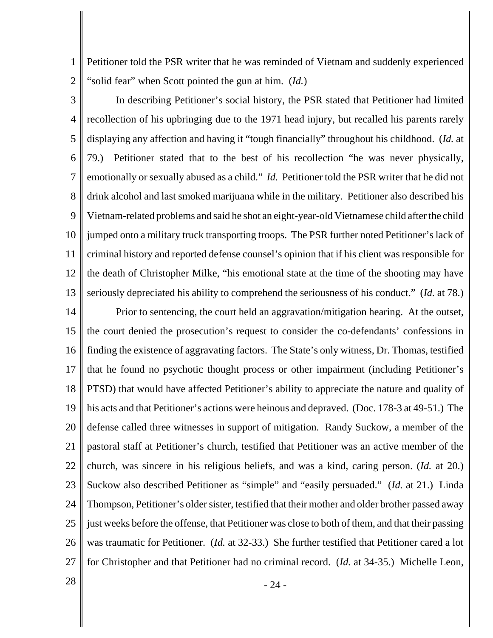1 2 Petitioner told the PSR writer that he was reminded of Vietnam and suddenly experienced "solid fear" when Scott pointed the gun at him. (*Id.*)

3 4 5 6 7 8 9 10 11 12 13 In describing Petitioner's social history, the PSR stated that Petitioner had limited recollection of his upbringing due to the 1971 head injury, but recalled his parents rarely displaying any affection and having it "tough financially" throughout his childhood. (*Id.* at 79.) Petitioner stated that to the best of his recollection "he was never physically, emotionally or sexually abused as a child." *Id.* Petitioner told the PSR writer that he did not drink alcohol and last smoked marijuana while in the military. Petitioner also described his Vietnam-related problems and said he shot an eight-year-old Vietnamese child after the child jumped onto a military truck transporting troops. The PSR further noted Petitioner's lack of criminal history and reported defense counsel's opinion that if his client was responsible for the death of Christopher Milke, "his emotional state at the time of the shooting may have seriously depreciated his ability to comprehend the seriousness of his conduct." (*Id.* at 78.)

14 15 16 17 18 19 20 21 22 23 24 25 26 27 Prior to sentencing, the court held an aggravation/mitigation hearing. At the outset, the court denied the prosecution's request to consider the co-defendants' confessions in finding the existence of aggravating factors. The State's only witness, Dr. Thomas, testified that he found no psychotic thought process or other impairment (including Petitioner's PTSD) that would have affected Petitioner's ability to appreciate the nature and quality of his acts and that Petitioner's actions were heinous and depraved. (Doc. 178-3 at 49-51.) The defense called three witnesses in support of mitigation. Randy Suckow, a member of the pastoral staff at Petitioner's church, testified that Petitioner was an active member of the church, was sincere in his religious beliefs, and was a kind, caring person. (*Id.* at 20.) Suckow also described Petitioner as "simple" and "easily persuaded." (*Id.* at 21.) Linda Thompson, Petitioner's older sister, testified that their mother and older brother passed away just weeks before the offense, that Petitioner was close to both of them, and that their passing was traumatic for Petitioner. (*Id.* at 32-33.) She further testified that Petitioner cared a lot for Christopher and that Petitioner had no criminal record. (*Id.* at 34-35.) Michelle Leon,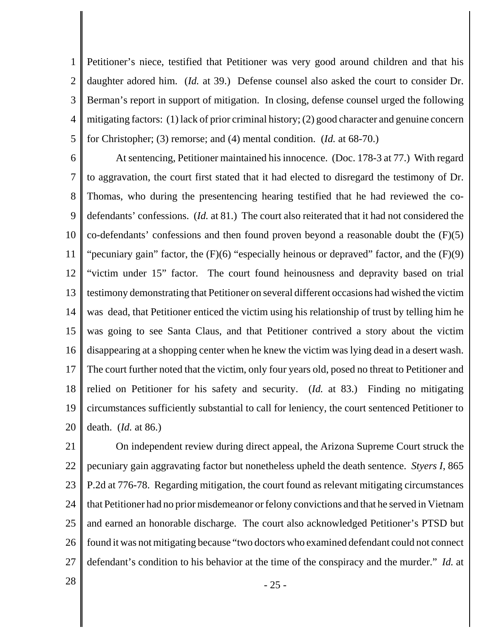1 2 3 4 5 Petitioner's niece, testified that Petitioner was very good around children and that his daughter adored him. (*Id.* at 39.) Defense counsel also asked the court to consider Dr. Berman's report in support of mitigation. In closing, defense counsel urged the following mitigating factors: (1) lack of prior criminal history; (2) good character and genuine concern for Christopher; (3) remorse; and (4) mental condition. (*Id.* at 68-70.)

6 7 8 9 10 11 12 13 14 15 16 17 18 19 20 At sentencing, Petitioner maintained his innocence. (Doc. 178-3 at 77.) With regard to aggravation, the court first stated that it had elected to disregard the testimony of Dr. Thomas, who during the presentencing hearing testified that he had reviewed the codefendants' confessions. (*Id.* at 81.) The court also reiterated that it had not considered the co-defendants' confessions and then found proven beyond a reasonable doubt the (F)(5) "pecuniary gain" factor, the  $(F)(6)$  "especially heinous or depraved" factor, and the  $(F)(9)$ "victim under 15" factor. The court found heinousness and depravity based on trial testimony demonstrating that Petitioner on several different occasions had wished the victim was dead, that Petitioner enticed the victim using his relationship of trust by telling him he was going to see Santa Claus, and that Petitioner contrived a story about the victim disappearing at a shopping center when he knew the victim was lying dead in a desert wash. The court further noted that the victim, only four years old, posed no threat to Petitioner and relied on Petitioner for his safety and security. (*Id.* at 83.) Finding no mitigating circumstances sufficiently substantial to call for leniency, the court sentenced Petitioner to death. (*Id.* at 86.)

21 22 23 24 25 26 27 On independent review during direct appeal, the Arizona Supreme Court struck the pecuniary gain aggravating factor but nonetheless upheld the death sentence. *Styers I*, 865 P.2d at 776-78. Regarding mitigation, the court found as relevant mitigating circumstances that Petitioner had no prior misdemeanor or felony convictions and that he served in Vietnam and earned an honorable discharge. The court also acknowledged Petitioner's PTSD but found it was not mitigating because "two doctors who examined defendant could not connect defendant's condition to his behavior at the time of the conspiracy and the murder." *Id.* at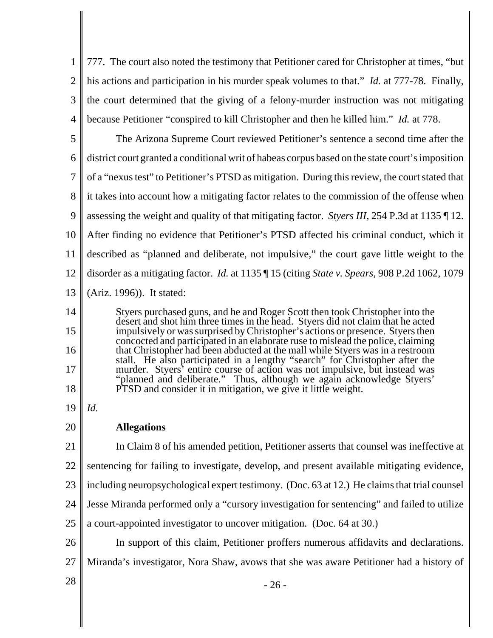1 2 3 4 777. The court also noted the testimony that Petitioner cared for Christopher at times, "but his actions and participation in his murder speak volumes to that." *Id.* at 777-78. Finally, the court determined that the giving of a felony-murder instruction was not mitigating because Petitioner "conspired to kill Christopher and then he killed him." *Id.* at 778.

5 6 7 8 9 10 11 12 13 The Arizona Supreme Court reviewed Petitioner's sentence a second time after the district court granted a conditional writ of habeas corpus based on the state court's imposition of a "nexus test" to Petitioner's PTSD as mitigation. During this review, the court stated that it takes into account how a mitigating factor relates to the commission of the offense when assessing the weight and quality of that mitigating factor. *Styers III*, 254 P.3d at 1135 ¶ 12. After finding no evidence that Petitioner's PTSD affected his criminal conduct, which it described as "planned and deliberate, not impulsive," the court gave little weight to the disorder as a mitigating factor. *Id.* at 1135 ¶ 15 (citing *State v. Spears*, 908 P.2d 1062, 1079 (Ariz. 1996)). It stated:

Styers purchased guns, and he and Roger Scott then took Christopher into the desert and shot him three times in the head. Styers did not claim that he acted impulsively or was surprised by Christopher's actions or presence. Styers then concocted and participated in an elaborate ruse to mislead the police, claiming that Christopher had been abducted at the mall while Styers was in a restroom stall. He also participated in a lengthy "search" for Christopher after the murder. Styers' entire course of action was not impulsive, but instead was "planned and deliberate." Thus, although we again acknowledge Styers' PTSD and consider it in mitigation, we give it little weight.

19 *Id.*

14

15

16

17

18

20 **Allegations**

21 22 23 24 25 In Claim 8 of his amended petition, Petitioner asserts that counsel was ineffective at sentencing for failing to investigate, develop, and present available mitigating evidence, including neuropsychological expert testimony. (Doc. 63 at 12.) He claims that trial counsel Jesse Miranda performed only a "cursory investigation for sentencing" and failed to utilize a court-appointed investigator to uncover mitigation. (Doc. 64 at 30.)

26 27 In support of this claim, Petitioner proffers numerous affidavits and declarations. Miranda's investigator, Nora Shaw, avows that she was aware Petitioner had a history of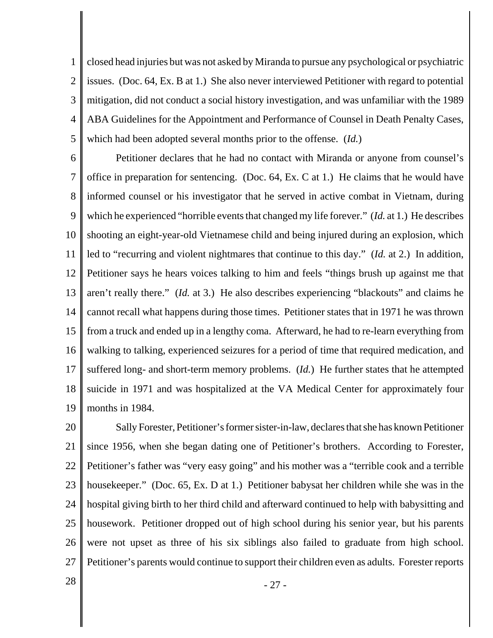1 2 3 4 5 closed head injuries but was not asked by Miranda to pursue any psychological or psychiatric issues. (Doc. 64, Ex. B at 1.) She also never interviewed Petitioner with regard to potential mitigation, did not conduct a social history investigation, and was unfamiliar with the 1989 ABA Guidelines for the Appointment and Performance of Counsel in Death Penalty Cases, which had been adopted several months prior to the offense. (*Id.*)

6 7 8 9 10 11 12 13 14 15 16 17 18 19 Petitioner declares that he had no contact with Miranda or anyone from counsel's office in preparation for sentencing. (Doc. 64, Ex. C at 1.) He claims that he would have informed counsel or his investigator that he served in active combat in Vietnam, during which he experienced "horrible events that changed my life forever." (*Id.* at 1.) He describes shooting an eight-year-old Vietnamese child and being injured during an explosion, which led to "recurring and violent nightmares that continue to this day." (*Id.* at 2.) In addition, Petitioner says he hears voices talking to him and feels "things brush up against me that aren't really there." (*Id.* at 3.) He also describes experiencing "blackouts" and claims he cannot recall what happens during those times. Petitioner states that in 1971 he was thrown from a truck and ended up in a lengthy coma. Afterward, he had to re-learn everything from walking to talking, experienced seizures for a period of time that required medication, and suffered long- and short-term memory problems. (*Id.*) He further states that he attempted suicide in 1971 and was hospitalized at the VA Medical Center for approximately four months in 1984.

20 21 22 23 24 25 26 27 Sally Forester, Petitioner's former sister-in-law, declares that she has known Petitioner since 1956, when she began dating one of Petitioner's brothers. According to Forester, Petitioner's father was "very easy going" and his mother was a "terrible cook and a terrible housekeeper." (Doc. 65, Ex. D at 1.) Petitioner babysat her children while she was in the hospital giving birth to her third child and afterward continued to help with babysitting and housework. Petitioner dropped out of high school during his senior year, but his parents were not upset as three of his six siblings also failed to graduate from high school. Petitioner's parents would continue to support their children even as adults. Forester reports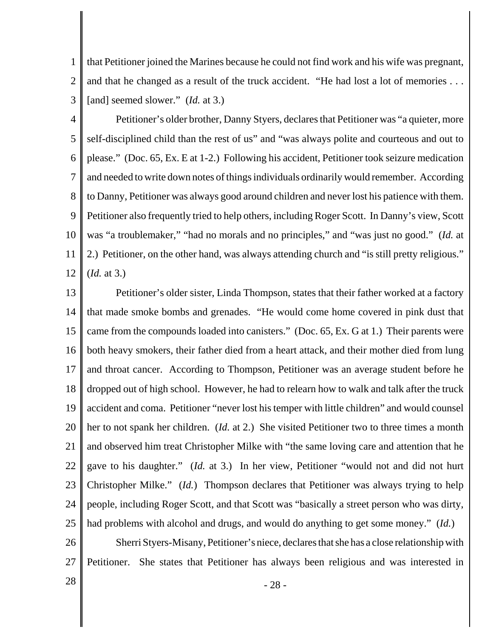1 2 3 that Petitioner joined the Marines because he could not find work and his wife was pregnant, and that he changed as a result of the truck accident. "He had lost a lot of memories . . . [and] seemed slower." (*Id.* at 3.)

4 5 6 7 8 9 10 11 12 Petitioner's older brother, Danny Styers, declares that Petitioner was "a quieter, more self-disciplined child than the rest of us" and "was always polite and courteous and out to please." (Doc. 65, Ex. E at 1-2.) Following his accident, Petitioner took seizure medication and needed to write down notes of things individuals ordinarily would remember. According to Danny, Petitioner was always good around children and never lost his patience with them. Petitioner also frequently tried to help others, including Roger Scott. In Danny's view, Scott was "a troublemaker," "had no morals and no principles," and "was just no good." (*Id.* at 2.) Petitioner, on the other hand, was always attending church and "is still pretty religious." (*Id.* at 3.)

13 14 15 16 17 18 19 20 21 22 23 24 25 Petitioner's older sister, Linda Thompson, states that their father worked at a factory that made smoke bombs and grenades. "He would come home covered in pink dust that came from the compounds loaded into canisters." (Doc. 65, Ex. G at 1.) Their parents were both heavy smokers, their father died from a heart attack, and their mother died from lung and throat cancer. According to Thompson, Petitioner was an average student before he dropped out of high school. However, he had to relearn how to walk and talk after the truck accident and coma. Petitioner "never lost his temper with little children" and would counsel her to not spank her children. (*Id.* at 2.) She visited Petitioner two to three times a month and observed him treat Christopher Milke with "the same loving care and attention that he gave to his daughter." (*Id.* at 3.) In her view, Petitioner "would not and did not hurt Christopher Milke." (*Id.*) Thompson declares that Petitioner was always trying to help people, including Roger Scott, and that Scott was "basically a street person who was dirty, had problems with alcohol and drugs, and would do anything to get some money." (*Id.*)

26 27 Sherri Styers-Misany, Petitioner's niece, declares that she has a close relationship with Petitioner. She states that Petitioner has always been religious and was interested in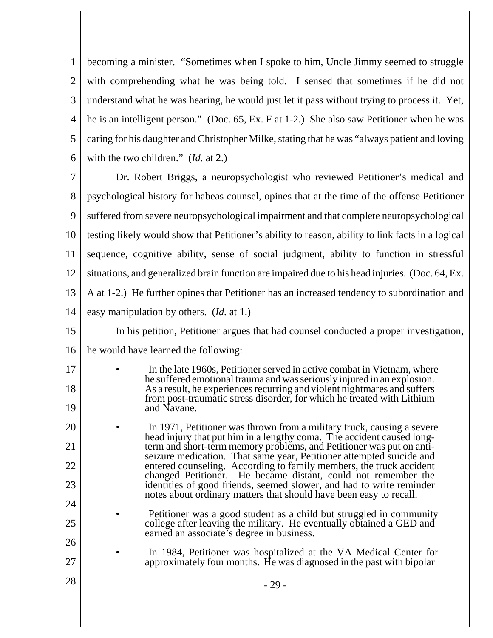1 2 3 4 5 6 becoming a minister. "Sometimes when I spoke to him, Uncle Jimmy seemed to struggle with comprehending what he was being told. I sensed that sometimes if he did not understand what he was hearing, he would just let it pass without trying to process it. Yet, he is an intelligent person." (Doc. 65, Ex. F at 1-2.) She also saw Petitioner when he was caring for his daughter and Christopher Milke, stating that he was "always patient and loving with the two children." (*Id.* at 2.)

7 8 9 10 11 12 13 14 Dr. Robert Briggs, a neuropsychologist who reviewed Petitioner's medical and psychological history for habeas counsel, opines that at the time of the offense Petitioner suffered from severe neuropsychological impairment and that complete neuropsychological testing likely would show that Petitioner's ability to reason, ability to link facts in a logical sequence, cognitive ability, sense of social judgment, ability to function in stressful situations, and generalized brain function are impaired due to his head injuries. (Doc. 64, Ex. A at 1-2.) He further opines that Petitioner has an increased tendency to subordination and easy manipulation by others. (*Id.* at 1.)

- 15 16 In his petition, Petitioner argues that had counsel conducted a proper investigation, he would have learned the following:
- 17 18 19 In the late 1960s, Petitioner served in active combat in Vietnam, where he suffered emotional trauma and was seriously injured in an explosion. As a result, he experiences recurring and violent nightmares and suffers from post-traumatic stress disorder, for which he treated with Lithium and Navane.
- 20 21 22 23 • In 1971, Petitioner was thrown from a military truck, causing a severe head injury that put him in a lengthy coma. The accident caused longterm and short-term memory problems, and Petitioner was put on antiseizure medication. That same year, Petitioner attempted suicide and entered counseling. According to family members, the truck accident changed Petitioner. He became distant, could not remember the identities of good friends, seemed slower, and had to write reminder notes about ordinary matters that should have been easy to recall.
- 24 25 26 Petitioner was a good student as a child but struggled in community college after leaving the military. He eventually obtained a GED and earned an associate's degree in business.
	- In 1984, Petitioner was hospitalized at the VA Medical Center for approximately four months. He was diagnosed in the past with bipolar

27

 $28 \parallel$  - 29 -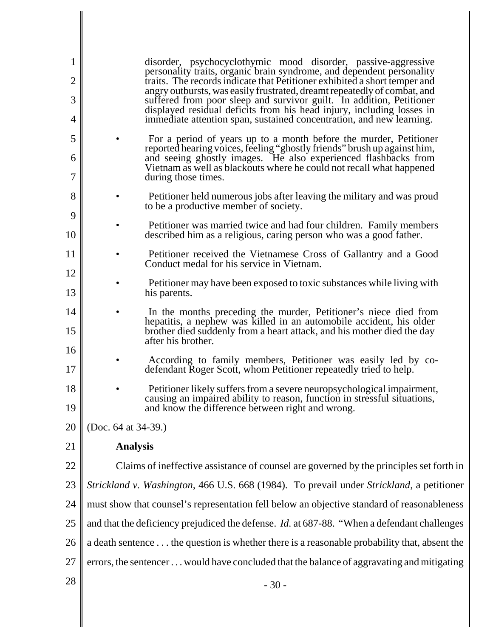| $\mathbf{1}$<br>$\overline{2}$ |                                                                                             | disorder, psychocyclothymic mood disorder, passive-aggressive<br>personality traits, organic brain syndrome, and dependent personality<br>traits. The records indicate that Petitioner exhibited a short temper and |  |
|--------------------------------|---------------------------------------------------------------------------------------------|---------------------------------------------------------------------------------------------------------------------------------------------------------------------------------------------------------------------|--|
| 3                              |                                                                                             | angry outbursts, was easily frustrated, dreamt repeatedly of combat, and<br>suffered from poor sleep and survivor guilt. In addition, Petitioner                                                                    |  |
| 4                              |                                                                                             | displayed residual deficits from his head injury, including losses in<br>immediate attention span, sustained concentration, and new learning.                                                                       |  |
| 5                              |                                                                                             | For a period of years up to a month before the murder, Petitioner<br>reported hearing voices, feeling "ghostly friends" brush up against him,                                                                       |  |
| 6<br>7                         |                                                                                             | and seeing ghostly images. He also experienced flashbacks from<br>Vietnam as well as blackouts where he could not recall what happened<br>during those times.                                                       |  |
| 8<br>9                         |                                                                                             | Petitioner held numerous jobs after leaving the military and was proud<br>to be a productive member of society.                                                                                                     |  |
| 10                             |                                                                                             | Petitioner was married twice and had four children. Family members<br>described him as a religious, caring person who was a good father.                                                                            |  |
| 11<br>12                       |                                                                                             | Petitioner received the Vietnamese Cross of Gallantry and a Good<br>Conduct medal for his service in Vietnam.                                                                                                       |  |
| 13                             |                                                                                             | Petitioner may have been exposed to toxic substances while living with<br>his parents.                                                                                                                              |  |
| 14                             |                                                                                             | In the months preceding the murder, Petitioner's niece died from<br>hepatitis, a nephew was killed in an automobile accident, his older                                                                             |  |
| 15<br>16                       |                                                                                             | brother died suddenly from a heart attack, and his mother died the day<br>after his brother.                                                                                                                        |  |
| 17                             |                                                                                             | According to family members, Petitioner was easily led by co-<br>defendant Roger Scott, whom Petitioner repeatedly tried to help.                                                                                   |  |
| 18<br>19                       |                                                                                             | Petitioner likely suffers from a severe neuropsychological impairment,<br>causing an impaired ability to reason, function in stressful situations,<br>and know the difference between right and wrong.              |  |
| 20                             | (Doc. 64 at 34-39.)                                                                         |                                                                                                                                                                                                                     |  |
| 21                             | <b>Analysis</b>                                                                             |                                                                                                                                                                                                                     |  |
| 22                             | Claims of ineffective assistance of counsel are governed by the principles set forth in     |                                                                                                                                                                                                                     |  |
| 23                             | Strickland v. Washington, 466 U.S. 668 (1984). To prevail under Strickland, a petitioner    |                                                                                                                                                                                                                     |  |
| 24                             | must show that counsel's representation fell below an objective standard of reasonableness  |                                                                                                                                                                                                                     |  |
| 25                             |                                                                                             | and that the deficiency prejudiced the defense. Id. at 687-88. "When a defendant challenges                                                                                                                         |  |
| 26                             | a death sentence the question is whether there is a reasonable probability that, absent the |                                                                                                                                                                                                                     |  |
| 27                             | errors, the sentencer would have concluded that the balance of aggravating and mitigating   |                                                                                                                                                                                                                     |  |
| 28                             |                                                                                             | $-30-$                                                                                                                                                                                                              |  |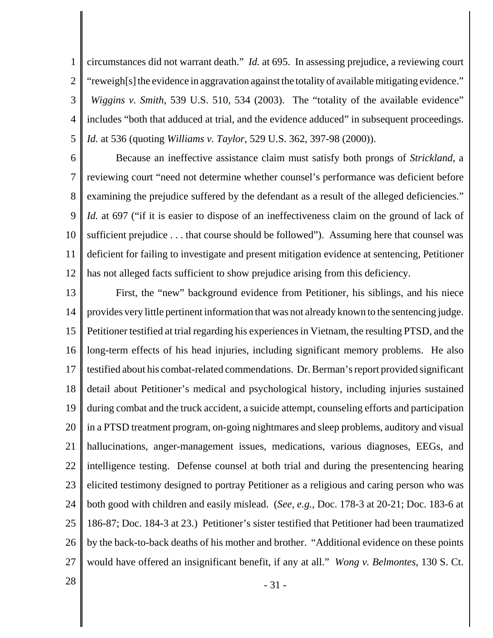1 2 3 4 5 circumstances did not warrant death." *Id.* at 695. In assessing prejudice, a reviewing court "reweigh[s] the evidence in aggravation against the totality of available mitigating evidence." *Wiggins v. Smith,* 539 U.S. 510, 534 (2003). The "totality of the available evidence" includes "both that adduced at trial, and the evidence adduced" in subsequent proceedings. *Id.* at 536 (quoting *Williams v. Taylor*, 529 U.S. 362, 397-98 (2000)).

6 7 8 9 10 11 12 Because an ineffective assistance claim must satisfy both prongs of *Strickland*, a reviewing court "need not determine whether counsel's performance was deficient before examining the prejudice suffered by the defendant as a result of the alleged deficiencies." *Id.* at 697 ("if it is easier to dispose of an ineffectiveness claim on the ground of lack of sufficient prejudice . . . that course should be followed"). Assuming here that counsel was deficient for failing to investigate and present mitigation evidence at sentencing, Petitioner has not alleged facts sufficient to show prejudice arising from this deficiency.

13 14 15 16 17 18 19 20 21 22 23 24 25 26 27 First, the "new" background evidence from Petitioner, his siblings, and his niece provides very little pertinent information that was not already known to the sentencing judge. Petitioner testified at trial regarding his experiences in Vietnam, the resulting PTSD, and the long-term effects of his head injuries, including significant memory problems. He also testified about his combat-related commendations. Dr. Berman's report provided significant detail about Petitioner's medical and psychological history, including injuries sustained during combat and the truck accident, a suicide attempt, counseling efforts and participation in a PTSD treatment program, on-going nightmares and sleep problems, auditory and visual hallucinations, anger-management issues, medications, various diagnoses, EEGs, and intelligence testing. Defense counsel at both trial and during the presentencing hearing elicited testimony designed to portray Petitioner as a religious and caring person who was both good with children and easily mislead. (*See, e.g.*, Doc. 178-3 at 20-21; Doc. 183-6 at 186-87; Doc. 184-3 at 23.) Petitioner's sister testified that Petitioner had been traumatized by the back-to-back deaths of his mother and brother. "Additional evidence on these points would have offered an insignificant benefit, if any at all." *Wong v. Belmontes*, 130 S. Ct.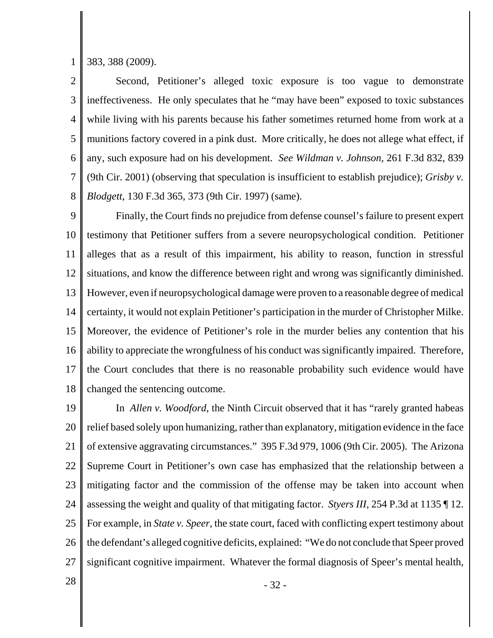1 383, 388 (2009).

2 3 4 5 6 7 8 Second, Petitioner's alleged toxic exposure is too vague to demonstrate ineffectiveness. He only speculates that he "may have been" exposed to toxic substances while living with his parents because his father sometimes returned home from work at a munitions factory covered in a pink dust. More critically, he does not allege what effect, if any, such exposure had on his development. *See Wildman v. Johnson*, 261 F.3d 832, 839 (9th Cir. 2001) (observing that speculation is insufficient to establish prejudice); *Grisby v. Blodgett*, 130 F.3d 365, 373 (9th Cir. 1997) (same).

9 10 11 12 13 14 15 16 17 18 Finally, the Court finds no prejudice from defense counsel's failure to present expert testimony that Petitioner suffers from a severe neuropsychological condition. Petitioner alleges that as a result of this impairment, his ability to reason, function in stressful situations, and know the difference between right and wrong was significantly diminished. However, even if neuropsychological damage were proven to a reasonable degree of medical certainty, it would not explain Petitioner's participation in the murder of Christopher Milke. Moreover, the evidence of Petitioner's role in the murder belies any contention that his ability to appreciate the wrongfulness of his conduct was significantly impaired. Therefore, the Court concludes that there is no reasonable probability such evidence would have changed the sentencing outcome.

19 20 21 22 23 24 25 26 27 In *Allen v. Woodford*, the Ninth Circuit observed that it has "rarely granted habeas relief based solely upon humanizing, rather than explanatory, mitigation evidence in the face of extensive aggravating circumstances." 395 F.3d 979, 1006 (9th Cir. 2005). The Arizona Supreme Court in Petitioner's own case has emphasized that the relationship between a mitigating factor and the commission of the offense may be taken into account when assessing the weight and quality of that mitigating factor. *Styers III*, 254 P.3d at 1135 ¶ 12. For example, in *State v. Speer*, the state court, faced with conflicting expert testimony about the defendant's alleged cognitive deficits, explained: "We do not conclude that Speer proved significant cognitive impairment. Whatever the formal diagnosis of Speer's mental health,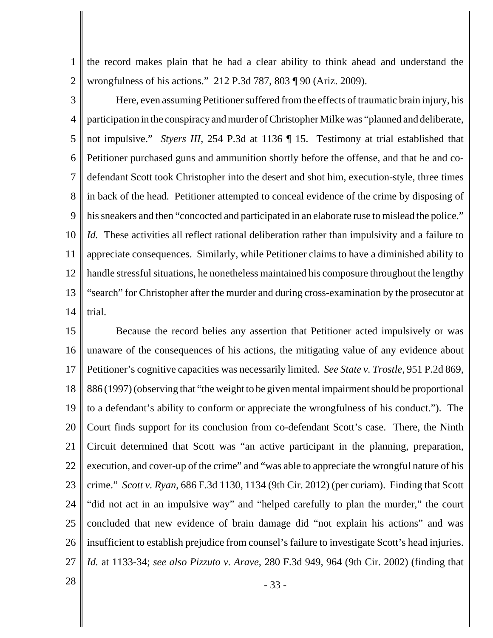1 2 the record makes plain that he had a clear ability to think ahead and understand the wrongfulness of his actions." 212 P.3d 787, 803 ¶ 90 (Ariz. 2009).

3 4 5 6 7 8 9 10 11 12 13 14 Here, even assuming Petitioner suffered from the effects of traumatic brain injury, his participation in the conspiracy and murder of Christopher Milke was "planned and deliberate, not impulsive." *Styers III*, 254 P.3d at 1136 ¶ 15. Testimony at trial established that Petitioner purchased guns and ammunition shortly before the offense, and that he and codefendant Scott took Christopher into the desert and shot him, execution-style, three times in back of the head. Petitioner attempted to conceal evidence of the crime by disposing of his sneakers and then "concocted and participated in an elaborate ruse to mislead the police." *Id.* These activities all reflect rational deliberation rather than impulsivity and a failure to appreciate consequences. Similarly, while Petitioner claims to have a diminished ability to handle stressful situations, he nonetheless maintained his composure throughout the lengthy "search" for Christopher after the murder and during cross-examination by the prosecutor at trial.

15 16 17 18 19 20 21 22 23 24 25 26 27 Because the record belies any assertion that Petitioner acted impulsively or was unaware of the consequences of his actions, the mitigating value of any evidence about Petitioner's cognitive capacities was necessarily limited. *See State v. Trostle*, 951 P.2d 869, 886 (1997) (observing that "the weight to be given mental impairment should be proportional to a defendant's ability to conform or appreciate the wrongfulness of his conduct."). The Court finds support for its conclusion from co-defendant Scott's case. There, the Ninth Circuit determined that Scott was "an active participant in the planning, preparation, execution, and cover-up of the crime" and "was able to appreciate the wrongful nature of his crime." *Scott v. Ryan*, 686 F.3d 1130, 1134 (9th Cir. 2012) (per curiam). Finding that Scott "did not act in an impulsive way" and "helped carefully to plan the murder," the court concluded that new evidence of brain damage did "not explain his actions" and was insufficient to establish prejudice from counsel's failure to investigate Scott's head injuries. *Id.* at 1133-34; *see also Pizzuto v. Arave*, 280 F.3d 949, 964 (9th Cir. 2002) (finding that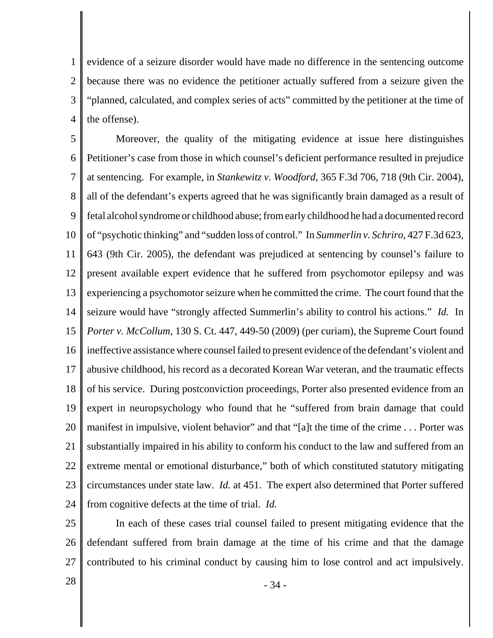1 2 3 4 evidence of a seizure disorder would have made no difference in the sentencing outcome because there was no evidence the petitioner actually suffered from a seizure given the "planned, calculated, and complex series of acts" committed by the petitioner at the time of the offense).

5 6 7 8 9 10 11 12 13 14 15 16 17 18 19 20 21 22 23 24 Moreover, the quality of the mitigating evidence at issue here distinguishes Petitioner's case from those in which counsel's deficient performance resulted in prejudice at sentencing. For example, in *Stankewitz v. Woodford*, 365 F.3d 706, 718 (9th Cir. 2004), all of the defendant's experts agreed that he was significantly brain damaged as a result of fetal alcohol syndrome or childhood abuse; from early childhood he had a documented record of "psychotic thinking" and "sudden loss of control." In *Summerlin v. Schriro*, 427 F.3d 623, 643 (9th Cir. 2005), the defendant was prejudiced at sentencing by counsel's failure to present available expert evidence that he suffered from psychomotor epilepsy and was experiencing a psychomotor seizure when he committed the crime. The court found that the seizure would have "strongly affected Summerlin's ability to control his actions." *Id.* In *Porter v. McCollum*, 130 S. Ct. 447, 449-50 (2009) (per curiam), the Supreme Court found ineffective assistance where counsel failed to present evidence of the defendant's violent and abusive childhood, his record as a decorated Korean War veteran, and the traumatic effects of his service. During postconviction proceedings, Porter also presented evidence from an expert in neuropsychology who found that he "suffered from brain damage that could manifest in impulsive, violent behavior" and that "[a]t the time of the crime . . . Porter was substantially impaired in his ability to conform his conduct to the law and suffered from an extreme mental or emotional disturbance," both of which constituted statutory mitigating circumstances under state law. *Id.* at 451. The expert also determined that Porter suffered from cognitive defects at the time of trial. *Id.*

25 26 27 In each of these cases trial counsel failed to present mitigating evidence that the defendant suffered from brain damage at the time of his crime and that the damage contributed to his criminal conduct by causing him to lose control and act impulsively.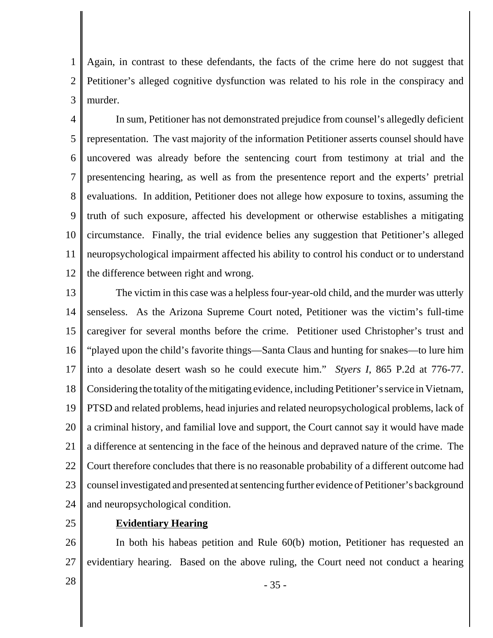1 2 3 Again, in contrast to these defendants, the facts of the crime here do not suggest that Petitioner's alleged cognitive dysfunction was related to his role in the conspiracy and murder.

4 5 6 7 8 9 10 11 12 In sum, Petitioner has not demonstrated prejudice from counsel's allegedly deficient representation. The vast majority of the information Petitioner asserts counsel should have uncovered was already before the sentencing court from testimony at trial and the presentencing hearing, as well as from the presentence report and the experts' pretrial evaluations. In addition, Petitioner does not allege how exposure to toxins, assuming the truth of such exposure, affected his development or otherwise establishes a mitigating circumstance. Finally, the trial evidence belies any suggestion that Petitioner's alleged neuropsychological impairment affected his ability to control his conduct or to understand the difference between right and wrong.

13 14 15 16 17 18 19 20 21 22 23 24 The victim in this case was a helpless four-year-old child, and the murder was utterly senseless. As the Arizona Supreme Court noted, Petitioner was the victim's full-time caregiver for several months before the crime. Petitioner used Christopher's trust and "played upon the child's favorite things—Santa Claus and hunting for snakes—to lure him into a desolate desert wash so he could execute him." *Styers I*, 865 P.2d at 776-77. Considering the totality of the mitigating evidence, including Petitioner's service in Vietnam, PTSD and related problems, head injuries and related neuropsychological problems, lack of a criminal history, and familial love and support, the Court cannot say it would have made a difference at sentencing in the face of the heinous and depraved nature of the crime. The Court therefore concludes that there is no reasonable probability of a different outcome had counsel investigated and presented at sentencing further evidence of Petitioner's background and neuropsychological condition.

25

#### **Evidentiary Hearing**

26 27 In both his habeas petition and Rule 60(b) motion, Petitioner has requested an evidentiary hearing. Based on the above ruling, the Court need not conduct a hearing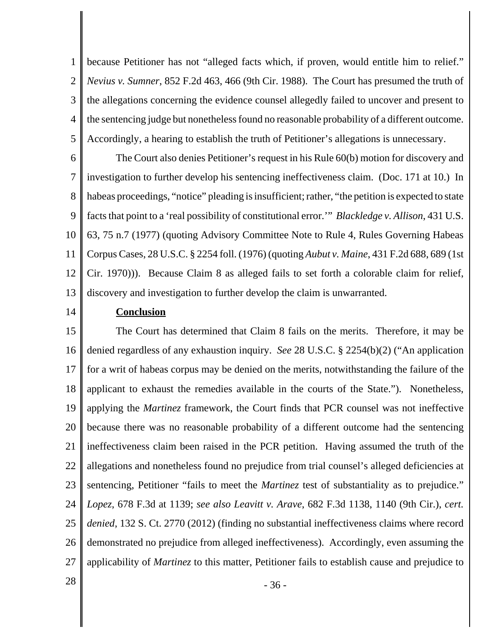1 2 3 4 5 because Petitioner has not "alleged facts which, if proven, would entitle him to relief." *Nevius v. Sumner*, 852 F.2d 463, 466 (9th Cir. 1988). The Court has presumed the truth of the allegations concerning the evidence counsel allegedly failed to uncover and present to the sentencing judge but nonetheless found no reasonable probability of a different outcome. Accordingly, a hearing to establish the truth of Petitioner's allegations is unnecessary.

6 7 8 9 10 11 12 13 The Court also denies Petitioner's request in his Rule 60(b) motion for discovery and investigation to further develop his sentencing ineffectiveness claim. (Doc. 171 at 10.) In habeas proceedings, "notice" pleading is insufficient; rather, "the petition is expected to state facts that point to a 'real possibility of constitutional error.'" *Blackledge v. Allison*, 431 U.S. 63, 75 n.7 (1977) (quoting Advisory Committee Note to Rule 4, Rules Governing Habeas Corpus Cases, 28 U.S.C. § 2254 foll. (1976) (quoting *Aubut v. Maine*, 431 F.2d 688, 689 (1st Cir. 1970))). Because Claim 8 as alleged fails to set forth a colorable claim for relief, discovery and investigation to further develop the claim is unwarranted.

14

#### **Conclusion**

15 16 17 18 19 20 21 22 23 24 25 26 27 The Court has determined that Claim 8 fails on the merits. Therefore, it may be denied regardless of any exhaustion inquiry. *See* 28 U.S.C. § 2254(b)(2) ("An application for a writ of habeas corpus may be denied on the merits, notwithstanding the failure of the applicant to exhaust the remedies available in the courts of the State."). Nonetheless, applying the *Martinez* framework, the Court finds that PCR counsel was not ineffective because there was no reasonable probability of a different outcome had the sentencing ineffectiveness claim been raised in the PCR petition. Having assumed the truth of the allegations and nonetheless found no prejudice from trial counsel's alleged deficiencies at sentencing, Petitioner "fails to meet the *Martinez* test of substantiality as to prejudice." *Lopez*, 678 F.3d at 1139; *see also Leavitt v. Arave*, 682 F.3d 1138, 1140 (9th Cir.), *cert. denied*, 132 S. Ct. 2770 (2012) (finding no substantial ineffectiveness claims where record demonstrated no prejudice from alleged ineffectiveness). Accordingly, even assuming the applicability of *Martinez* to this matter, Petitioner fails to establish cause and prejudice to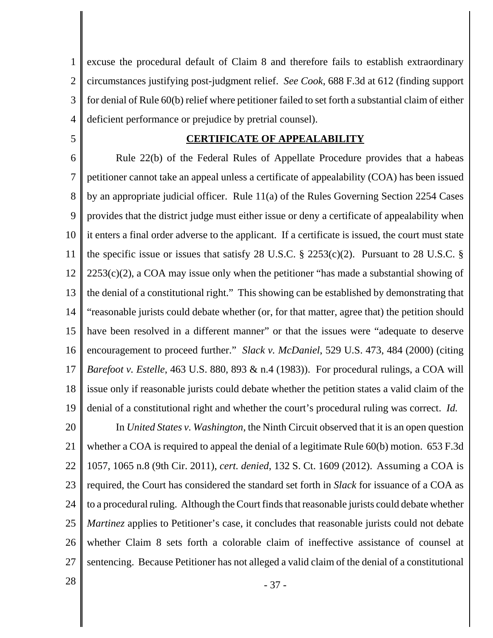1 2 3 4 excuse the procedural default of Claim 8 and therefore fails to establish extraordinary circumstances justifying post-judgment relief. *See Cook*, 688 F.3d at 612 (finding support for denial of Rule 60(b) relief where petitioner failed to set forth a substantial claim of either deficient performance or prejudice by pretrial counsel).

5

#### **CERTIFICATE OF APPEALABILITY**

6 7 8 9 10 11 12 13 14 15 16 17 18 19 20 Rule 22(b) of the Federal Rules of Appellate Procedure provides that a habeas petitioner cannot take an appeal unless a certificate of appealability (COA) has been issued by an appropriate judicial officer. Rule 11(a) of the Rules Governing Section 2254 Cases provides that the district judge must either issue or deny a certificate of appealability when it enters a final order adverse to the applicant. If a certificate is issued, the court must state the specific issue or issues that satisfy 28 U.S.C.  $\S$  2253(c)(2). Pursuant to 28 U.S.C.  $\S$  $2253(c)(2)$ , a COA may issue only when the petitioner "has made a substantial showing of the denial of a constitutional right." This showing can be established by demonstrating that "reasonable jurists could debate whether (or, for that matter, agree that) the petition should have been resolved in a different manner" or that the issues were "adequate to deserve encouragement to proceed further." *Slack v. McDaniel*, 529 U.S. 473, 484 (2000) (citing *Barefoot v. Estelle*, 463 U.S. 880, 893 & n.4 (1983)). For procedural rulings, a COA will issue only if reasonable jurists could debate whether the petition states a valid claim of the denial of a constitutional right and whether the court's procedural ruling was correct. *Id.* In *United States v. Washington*, the Ninth Circuit observed that it is an open question

21 22 23 24 25 26 27 whether a COA is required to appeal the denial of a legitimate Rule 60(b) motion. 653 F.3d 1057, 1065 n.8 (9th Cir. 2011), *cert. denied*, 132 S. Ct. 1609 (2012). Assuming a COA is required, the Court has considered the standard set forth in *Slack* for issuance of a COA as to a procedural ruling. Although the Court finds that reasonable jurists could debate whether *Martinez* applies to Petitioner's case, it concludes that reasonable jurists could not debate whether Claim 8 sets forth a colorable claim of ineffective assistance of counsel at sentencing. Because Petitioner has not alleged a valid claim of the denial of a constitutional